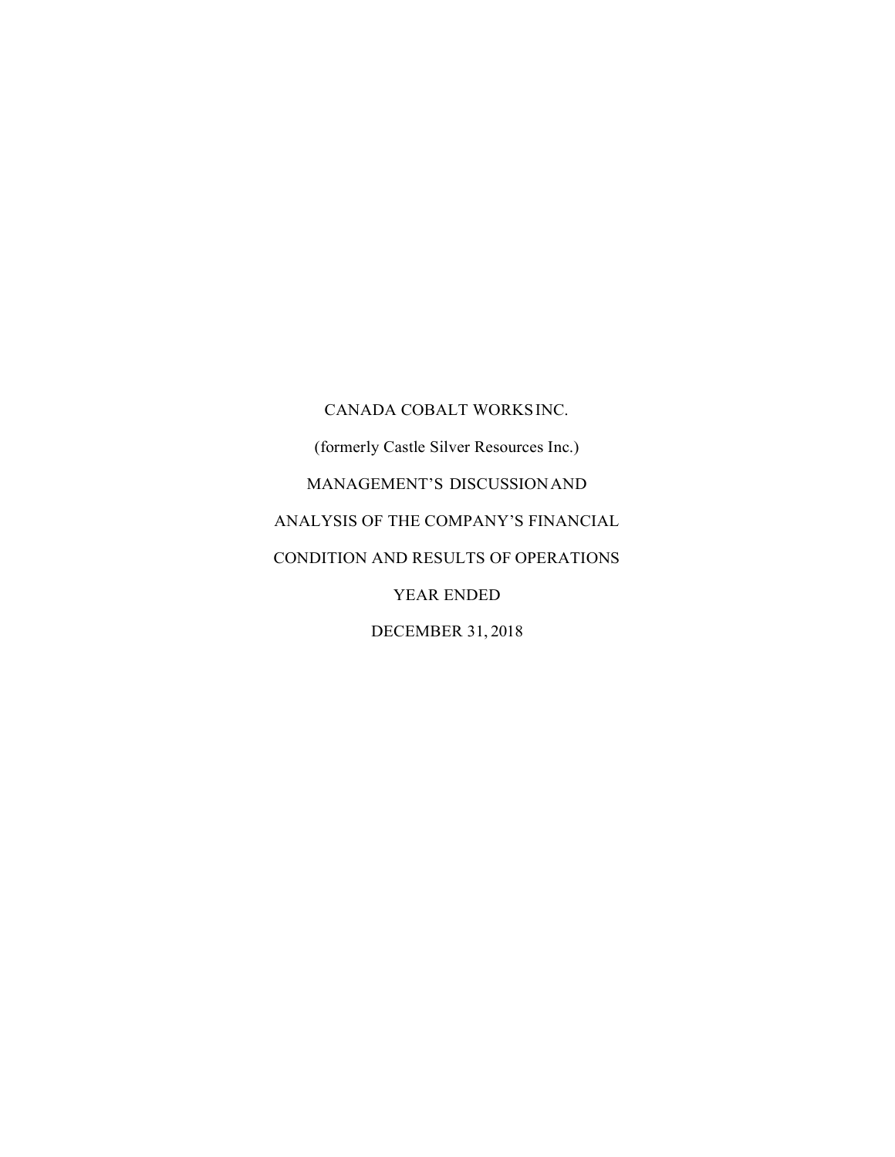CANADA COBALT WORKS INC. (formerly Castle Silver Resources Inc.) MANAGEMENT'S DISCUSSION AND ANALYSIS OF THE COMPANY'S FINANCIAL CONDITION AND RESULTS OF OPERATIONS YEAR ENDED DECEMBER 31, 2018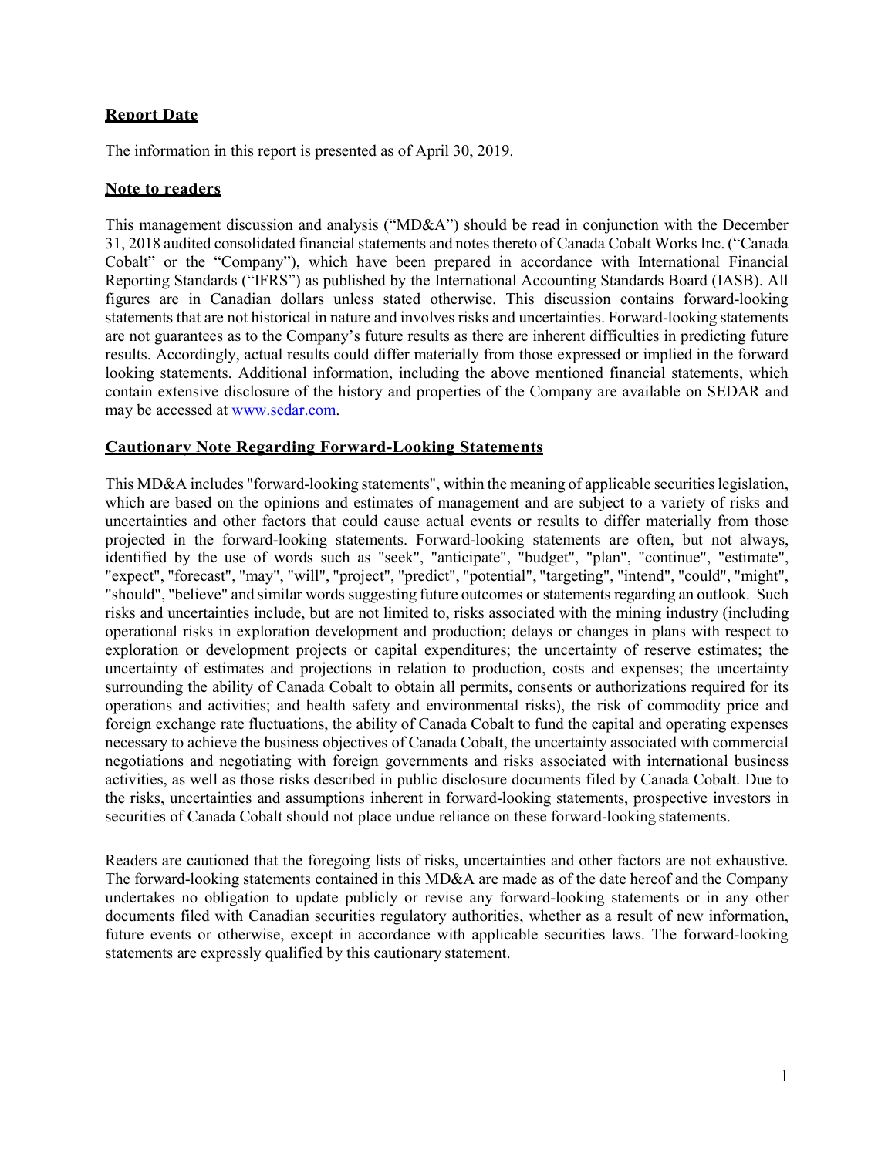## Report Date

The information in this report is presented as of April 30, 2019.

### Note to readers

This management discussion and analysis ("MD&A") should be read in conjunction with the December 31, 2018 audited consolidated financial statements and notes thereto of Canada Cobalt Works Inc. ("Canada Cobalt" or the "Company"), which have been prepared in accordance with International Financial Reporting Standards ("IFRS") as published by the International Accounting Standards Board (IASB). All figures are in Canadian dollars unless stated otherwise. This discussion contains forward-looking statements that are not historical in nature and involves risks and uncertainties. Forward-looking statements are not guarantees as to the Company's future results as there are inherent difficulties in predicting future results. Accordingly, actual results could differ materially from those expressed or implied in the forward looking statements. Additional information, including the above mentioned financial statements, which contain extensive disclosure of the history and properties of the Company are available on SEDAR and may be accessed at www.sedar.com.

### Cautionary Note Regarding Forward-Looking Statements

This MD&A includes "forward-looking statements", within the meaning of applicable securities legislation, which are based on the opinions and estimates of management and are subject to a variety of risks and uncertainties and other factors that could cause actual events or results to differ materially from those projected in the forward-looking statements. Forward-looking statements are often, but not always, identified by the use of words such as "seek", "anticipate", "budget", "plan", "continue", "estimate", "expect", "forecast", "may", "will", "project", "predict", "potential", "targeting", "intend", "could", "might", "should", "believe" and similar words suggesting future outcomes or statements regarding an outlook. Such risks and uncertainties include, but are not limited to, risks associated with the mining industry (including operational risks in exploration development and production; delays or changes in plans with respect to exploration or development projects or capital expenditures; the uncertainty of reserve estimates; the uncertainty of estimates and projections in relation to production, costs and expenses; the uncertainty surrounding the ability of Canada Cobalt to obtain all permits, consents or authorizations required for its operations and activities; and health safety and environmental risks), the risk of commodity price and foreign exchange rate fluctuations, the ability of Canada Cobalt to fund the capital and operating expenses necessary to achieve the business objectives of Canada Cobalt, the uncertainty associated with commercial negotiations and negotiating with foreign governments and risks associated with international business activities, as well as those risks described in public disclosure documents filed by Canada Cobalt. Due to the risks, uncertainties and assumptions inherent in forward-looking statements, prospective investors in securities of Canada Cobalt should not place undue reliance on these forward-looking statements.

Readers are cautioned that the foregoing lists of risks, uncertainties and other factors are not exhaustive. The forward-looking statements contained in this MD&A are made as of the date hereof and the Company undertakes no obligation to update publicly or revise any forward-looking statements or in any other documents filed with Canadian securities regulatory authorities, whether as a result of new information, future events or otherwise, except in accordance with applicable securities laws. The forward-looking statements are expressly qualified by this cautionary statement.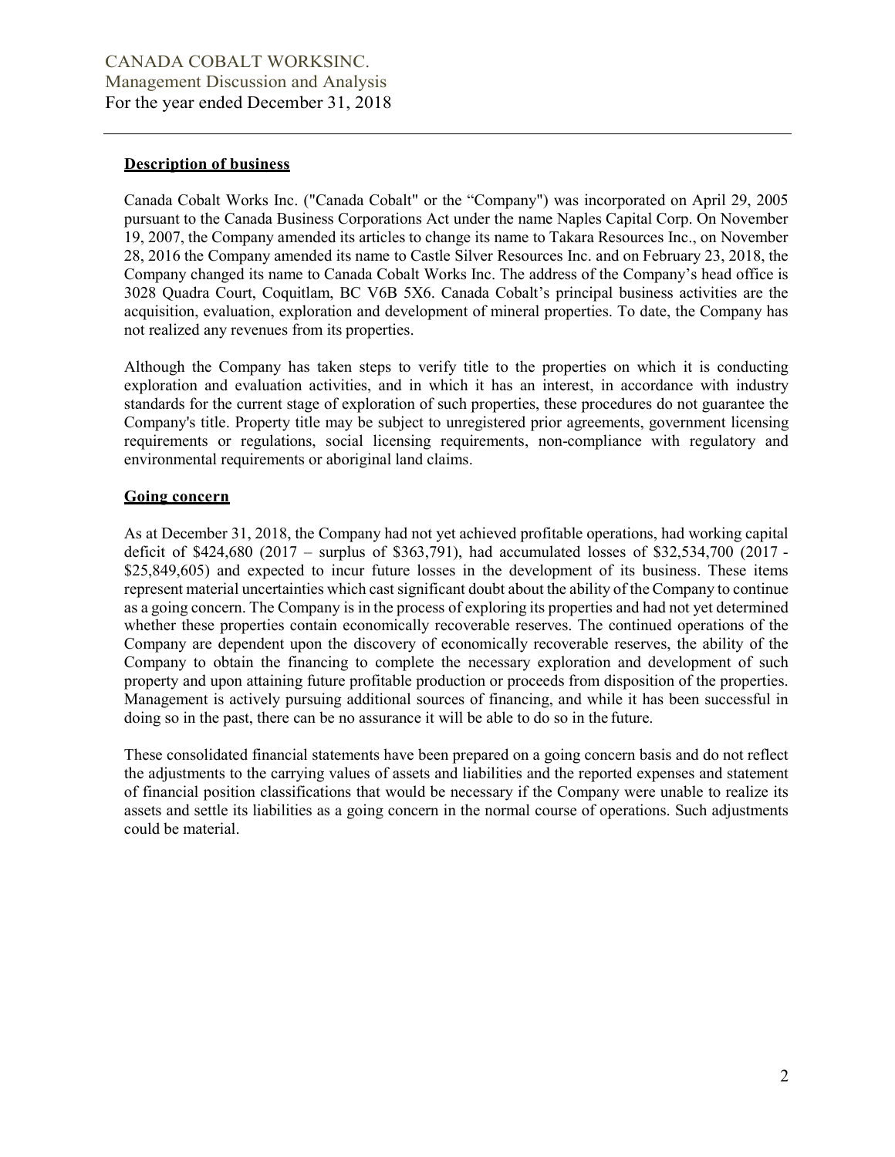#### Description of business

Canada Cobalt Works Inc. ("Canada Cobalt" or the "Company") was incorporated on April 29, 2005 pursuant to the Canada Business Corporations Act under the name Naples Capital Corp. On November 19, 2007, the Company amended its articles to change its name to Takara Resources Inc., on November 28, 2016 the Company amended its name to Castle Silver Resources Inc. and on February 23, 2018, the Company changed its name to Canada Cobalt Works Inc. The address of the Company's head office is 3028 Quadra Court, Coquitlam, BC V6B 5X6. Canada Cobalt's principal business activities are the acquisition, evaluation, exploration and development of mineral properties. To date, the Company has not realized any revenues from its properties.

Although the Company has taken steps to verify title to the properties on which it is conducting exploration and evaluation activities, and in which it has an interest, in accordance with industry standards for the current stage of exploration of such properties, these procedures do not guarantee the Company's title. Property title may be subject to unregistered prior agreements, government licensing requirements or regulations, social licensing requirements, non-compliance with regulatory and environmental requirements or aboriginal land claims.

#### Going concern

As at December 31, 2018, the Company had not yet achieved profitable operations, had working capital deficit of \$424,680 (2017 – surplus of \$363,791), had accumulated losses of \$32,534,700 (2017 - \$25,849,605) and expected to incur future losses in the development of its business. These items represent material uncertainties which cast significant doubt about the ability of the Company to continue as a going concern. The Company is in the process of exploring its properties and had not yet determined whether these properties contain economically recoverable reserves. The continued operations of the Company are dependent upon the discovery of economically recoverable reserves, the ability of the Company to obtain the financing to complete the necessary exploration and development of such property and upon attaining future profitable production or proceeds from disposition of the properties. Management is actively pursuing additional sources of financing, and while it has been successful in doing so in the past, there can be no assurance it will be able to do so in the future.

These consolidated financial statements have been prepared on a going concern basis and do not reflect the adjustments to the carrying values of assets and liabilities and the reported expenses and statement of financial position classifications that would be necessary if the Company were unable to realize its assets and settle its liabilities as a going concern in the normal course of operations. Such adjustments could be material.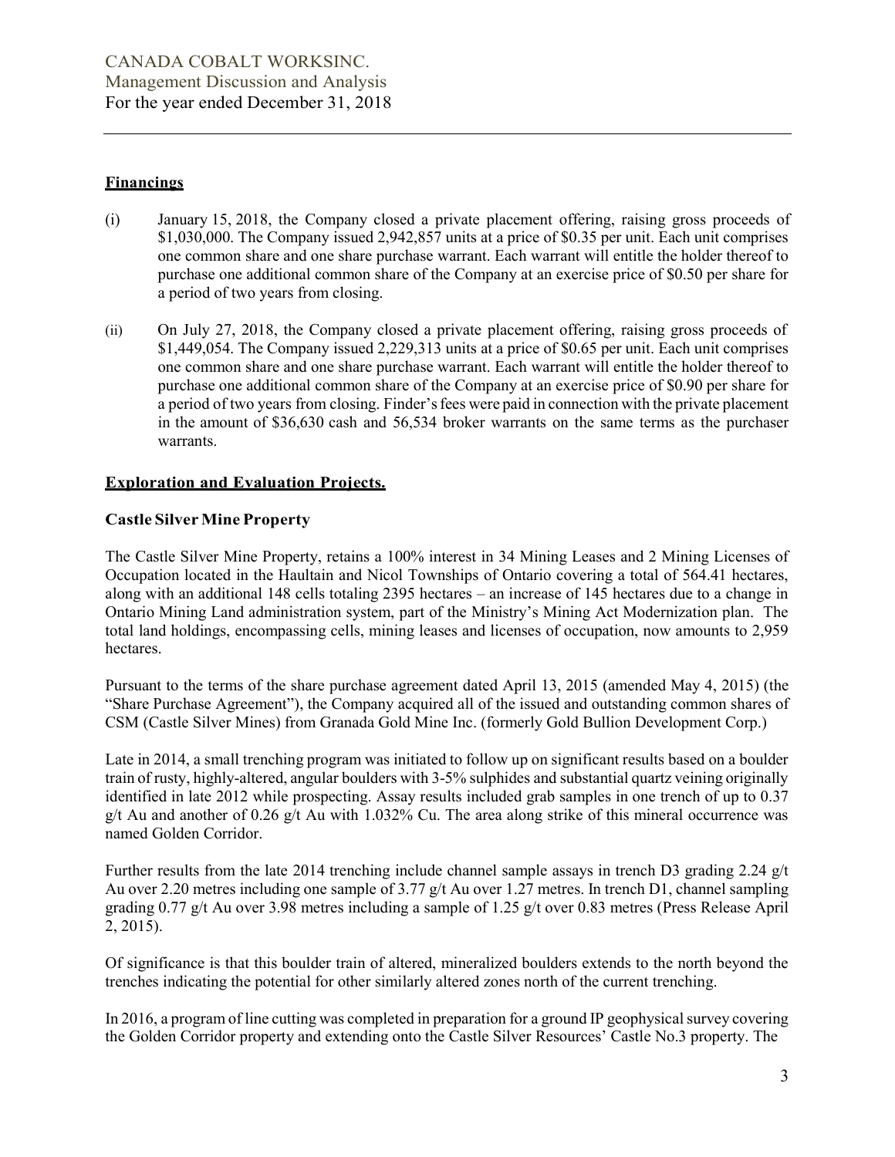### **Financings**

- (i) January 15, 2018, the Company closed a private placement offering, raising gross proceeds of \$1,030,000. The Company issued 2,942,857 units at a price of \$0.35 per unit. Each unit comprises one common share and one share purchase warrant. Each warrant will entitle the holder thereof to purchase one additional common share of the Company at an exercise price of \$0.50 per share for a period of two years from closing.
- (ii) On July 27, 2018, the Company closed a private placement offering, raising gross proceeds of \$1,449,054. The Company issued 2,229,313 units at a price of \$0.65 per unit. Each unit comprises one common share and one share purchase warrant. Each warrant will entitle the holder thereof to purchase one additional common share of the Company at an exercise price of \$0.90 per share for a period of two years from closing. Finder's fees were paid in connection with the private placement in the amount of \$36,630 cash and 56,534 broker warrants on the same terms as the purchaser warrants.

## Exploration and Evaluation Projects.

## Castle Silver Mine Property

The Castle Silver Mine Property, retains a 100% interest in 34 Mining Leases and 2 Mining Licenses of Occupation located in the Haultain and Nicol Townships of Ontario covering a total of 564.41 hectares, along with an additional 148 cells totaling 2395 hectares – an increase of 145 hectares due to a change in Ontario Mining Land administration system, part of the Ministry's Mining Act Modernization plan. The total land holdings, encompassing cells, mining leases and licenses of occupation, now amounts to 2,959 hectares.

Pursuant to the terms of the share purchase agreement dated April 13, 2015 (amended May 4, 2015) (the "Share Purchase Agreement"), the Company acquired all of the issued and outstanding common shares of CSM (Castle Silver Mines) from Granada Gold Mine Inc. (formerly Gold Bullion Development Corp.)

Late in 2014, a small trenching program was initiated to follow up on significant results based on a boulder train of rusty, highly-altered, angular boulders with 3-5% sulphides and substantial quartz veining originally identified in late 2012 while prospecting. Assay results included grab samples in one trench of up to 0.37 g/t Au and another of 0.26 g/t Au with 1.032% Cu. The area along strike of this mineral occurrence was named Golden Corridor.

Further results from the late 2014 trenching include channel sample assays in trench D3 grading 2.24 g/t Au over 2.20 metres including one sample of 3.77 g/t Au over 1.27 metres. In trench D1, channel sampling grading 0.77 g/t Au over 3.98 metres including a sample of 1.25 g/t over 0.83 metres (Press Release April 2, 2015).

Of significance is that this boulder train of altered, mineralized boulders extends to the north beyond the trenches indicating the potential for other similarly altered zones north of the current trenching.

In 2016, a program of line cutting was completed in preparation for a ground IP geophysical survey covering the Golden Corridor property and extending onto the Castle Silver Resources' Castle No.3 property. The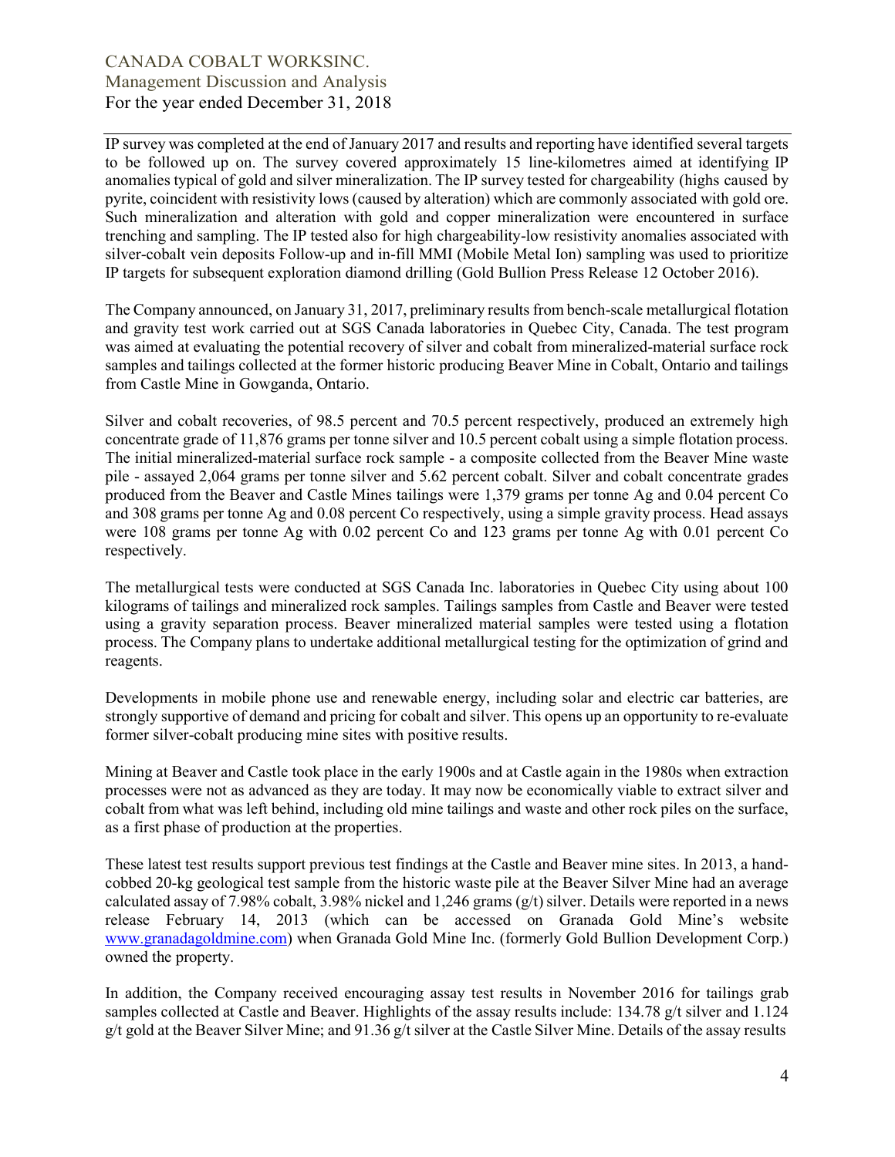IP survey was completed at the end of January 2017 and results and reporting have identified several targets to be followed up on. The survey covered approximately 15 line-kilometres aimed at identifying IP anomalies typical of gold and silver mineralization. The IP survey tested for chargeability (highs caused by pyrite, coincident with resistivity lows (caused by alteration) which are commonly associated with gold ore. Such mineralization and alteration with gold and copper mineralization were encountered in surface trenching and sampling. The IP tested also for high chargeability-low resistivity anomalies associated with silver-cobalt vein deposits Follow-up and in-fill MMI (Mobile Metal Ion) sampling was used to prioritize IP targets for subsequent exploration diamond drilling (Gold Bullion Press Release 12 October 2016).

The Company announced, on January 31, 2017, preliminary results from bench-scale metallurgical flotation and gravity test work carried out at SGS Canada laboratories in Quebec City, Canada. The test program was aimed at evaluating the potential recovery of silver and cobalt from mineralized-material surface rock samples and tailings collected at the former historic producing Beaver Mine in Cobalt, Ontario and tailings from Castle Mine in Gowganda, Ontario.

Silver and cobalt recoveries, of 98.5 percent and 70.5 percent respectively, produced an extremely high concentrate grade of 11,876 grams per tonne silver and 10.5 percent cobalt using a simple flotation process. The initial mineralized-material surface rock sample - a composite collected from the Beaver Mine waste pile - assayed 2,064 grams per tonne silver and 5.62 percent cobalt. Silver and cobalt concentrate grades produced from the Beaver and Castle Mines tailings were 1,379 grams per tonne Ag and 0.04 percent Co and 308 grams per tonne Ag and 0.08 percent Co respectively, using a simple gravity process. Head assays were 108 grams per tonne Ag with 0.02 percent Co and 123 grams per tonne Ag with 0.01 percent Co respectively.

The metallurgical tests were conducted at SGS Canada Inc. laboratories in Quebec City using about 100 kilograms of tailings and mineralized rock samples. Tailings samples from Castle and Beaver were tested using a gravity separation process. Beaver mineralized material samples were tested using a flotation process. The Company plans to undertake additional metallurgical testing for the optimization of grind and reagents.

Developments in mobile phone use and renewable energy, including solar and electric car batteries, are strongly supportive of demand and pricing for cobalt and silver. This opens up an opportunity to re-evaluate former silver-cobalt producing mine sites with positive results.

Mining at Beaver and Castle took place in the early 1900s and at Castle again in the 1980s when extraction processes were not as advanced as they are today. It may now be economically viable to extract silver and cobalt from what was left behind, including old mine tailings and waste and other rock piles on the surface, as a first phase of production at the properties.

These latest test results support previous test findings at the Castle and Beaver mine sites. In 2013, a handcobbed 20-kg geological test sample from the historic waste pile at the Beaver Silver Mine had an average calculated assay of 7.98% cobalt, 3.98% nickel and 1.246 grams  $(g/t)$  silver. Details were reported in a news release February 14, 2013 (which can be accessed on Granada Gold Mine's website www.granadagoldmine.com) when Granada Gold Mine Inc. (formerly Gold Bullion Development Corp.) owned the property.

In addition, the Company received encouraging assay test results in November 2016 for tailings grab samples collected at Castle and Beaver. Highlights of the assay results include: 134.78 g/t silver and 1.124 g/t gold at the Beaver Silver Mine; and 91.36 g/t silver at the Castle Silver Mine. Details of the assay results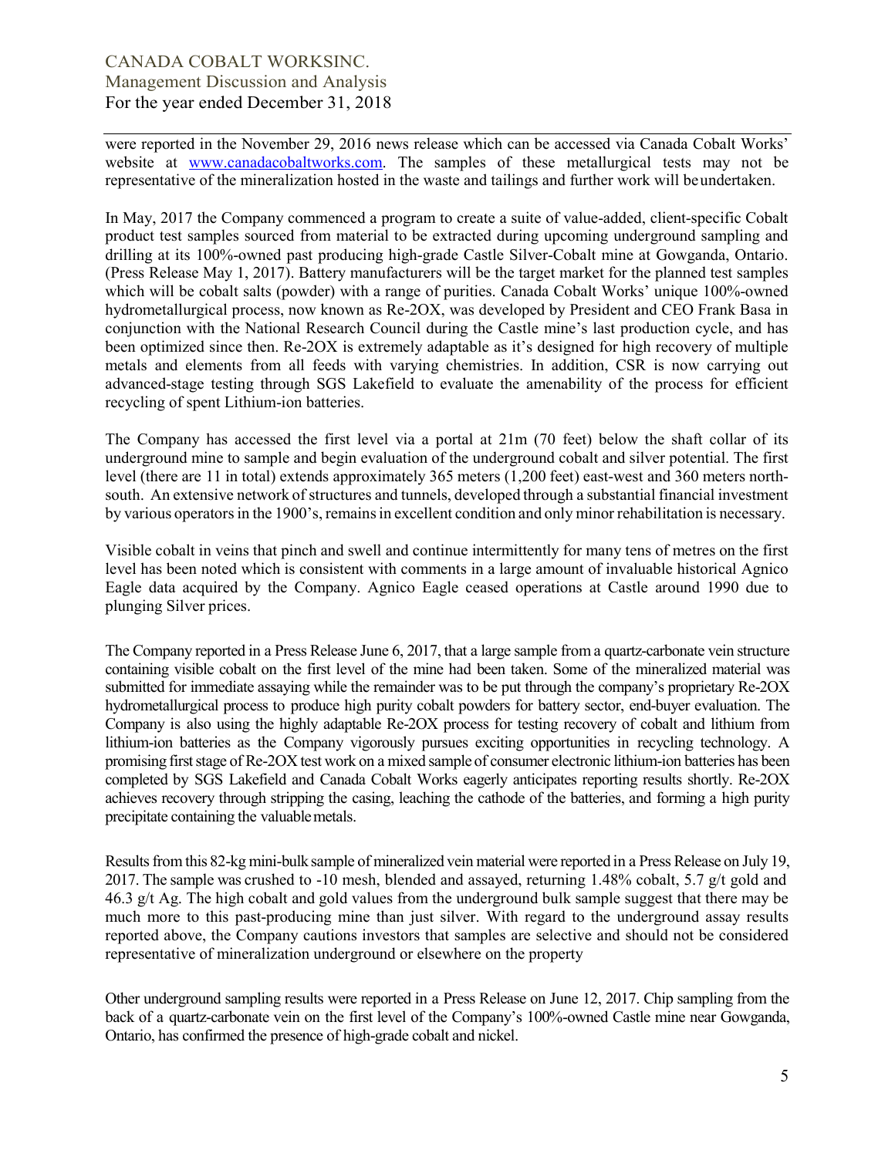were reported in the November 29, 2016 news release which can be accessed via Canada Cobalt Works' website at www.canadacobaltworks.com. The samples of these metallurgical tests may not be representative of the mineralization hosted in the waste and tailings and further work will be undertaken.

In May, 2017 the Company commenced a program to create a suite of value-added, client-specific Cobalt product test samples sourced from material to be extracted during upcoming underground sampling and drilling at its 100%-owned past producing high-grade Castle Silver-Cobalt mine at Gowganda, Ontario. (Press Release May 1, 2017). Battery manufacturers will be the target market for the planned test samples which will be cobalt salts (powder) with a range of purities. Canada Cobalt Works' unique 100%-owned hydrometallurgical process, now known as Re-2OX, was developed by President and CEO Frank Basa in conjunction with the National Research Council during the Castle mine's last production cycle, and has been optimized since then. Re-2OX is extremely adaptable as it's designed for high recovery of multiple metals and elements from all feeds with varying chemistries. In addition, CSR is now carrying out advanced-stage testing through SGS Lakefield to evaluate the amenability of the process for efficient recycling of spent Lithium-ion batteries.

The Company has accessed the first level via a portal at 21m (70 feet) below the shaft collar of its underground mine to sample and begin evaluation of the underground cobalt and silver potential. The first level (there are 11 in total) extends approximately 365 meters (1,200 feet) east-west and 360 meters northsouth. An extensive network of structures and tunnels, developed through a substantial financial investment by various operators in the 1900's, remains in excellent condition and only minor rehabilitation is necessary.

Visible cobalt in veins that pinch and swell and continue intermittently for many tens of metres on the first level has been noted which is consistent with comments in a large amount of invaluable historical Agnico Eagle data acquired by the Company. Agnico Eagle ceased operations at Castle around 1990 due to plunging Silver prices.

The Company reported in a Press Release June 6, 2017, that a large sample from a quartz-carbonate vein structure containing visible cobalt on the first level of the mine had been taken. Some of the mineralized material was submitted for immediate assaying while the remainder was to be put through the company's proprietary Re-2OX hydrometallurgical process to produce high purity cobalt powders for battery sector, end-buyer evaluation. The Company is also using the highly adaptable Re-2OX process for testing recovery of cobalt and lithium from lithium-ion batteries as the Company vigorously pursues exciting opportunities in recycling technology. A promising first stage of Re-2OX test work on a mixed sample of consumer electronic lithium-ion batteries has been completed by SGS Lakefield and Canada Cobalt Works eagerly anticipates reporting results shortly. Re-2OX achieves recovery through stripping the casing, leaching the cathode of the batteries, and forming a high purity precipitate containing the valuable metals.

Results from this 82-kg mini-bulk sample of mineralized vein material were reported in a Press Release on July 19, 2017. The sample was crushed to -10 mesh, blended and assayed, returning 1.48% cobalt, 5.7 g/t gold and 46.3 g/t Ag. The high cobalt and gold values from the underground bulk sample suggest that there may be much more to this past-producing mine than just silver. With regard to the underground assay results reported above, the Company cautions investors that samples are selective and should not be considered representative of mineralization underground or elsewhere on the property

Other underground sampling results were reported in a Press Release on June 12, 2017. Chip sampling from the back of a quartz-carbonate vein on the first level of the Company's 100%-owned Castle mine near Gowganda, Ontario, has confirmed the presence of high-grade cobalt and nickel.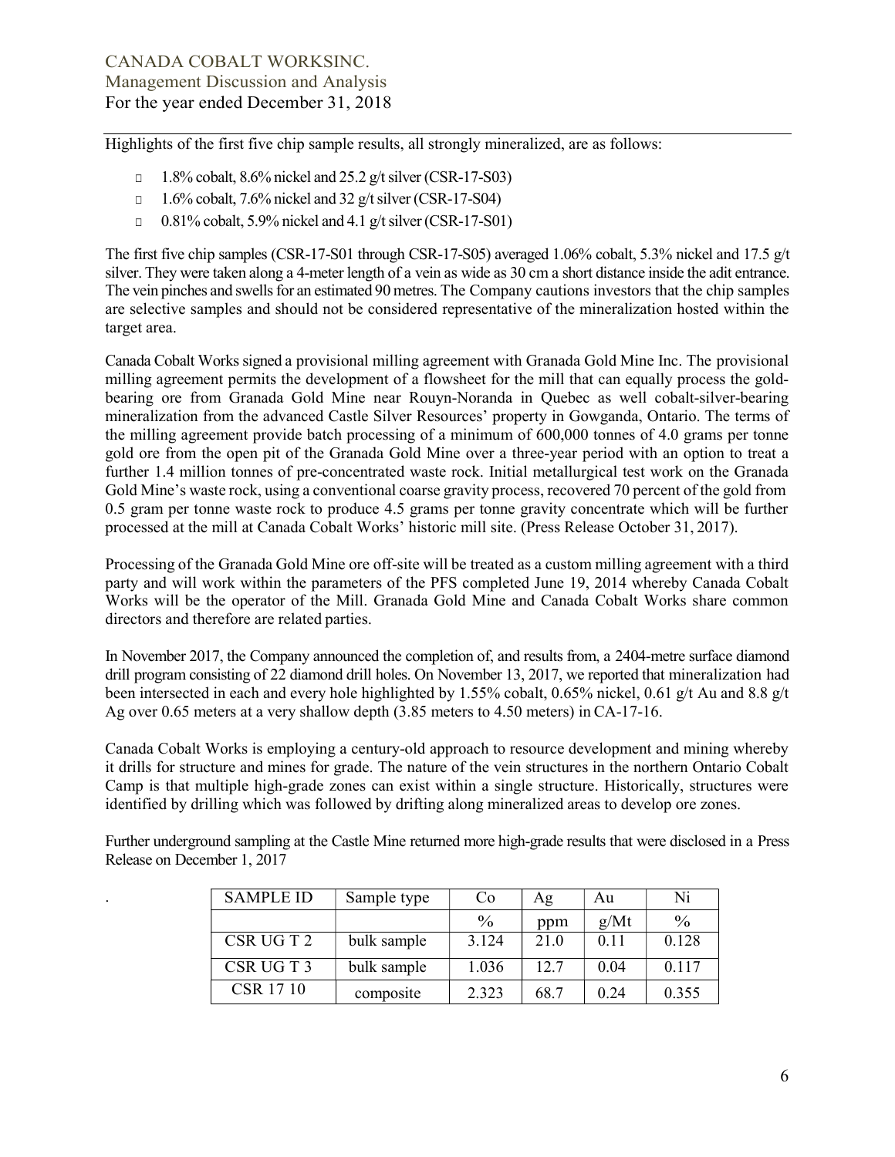Highlights of the first five chip sample results, all strongly mineralized, are as follows:

- □ 1.8% cobalt, 8.6% nickel and 25.2 g/t silver (CSR-17-S03)
- $\Box$  1.6% cobalt, 7.6% nickel and 32 g/t silver (CSR-17-S04)
- □ 0.81% cobalt, 5.9% nickel and 4.1 g/t silver (CSR-17-S01)

The first five chip samples (CSR-17-S01 through CSR-17-S05) averaged 1.06% cobalt, 5.3% nickel and 17.5 g/t silver. They were taken along a 4-meter length of a vein as wide as 30 cm a short distance inside the adit entrance. The vein pinches and swells for an estimated 90 metres. The Company cautions investors that the chip samples are selective samples and should not be considered representative of the mineralization hosted within the target area.

Canada Cobalt Works signed a provisional milling agreement with Granada Gold Mine Inc. The provisional milling agreement permits the development of a flowsheet for the mill that can equally process the goldbearing ore from Granada Gold Mine near Rouyn-Noranda in Quebec as well cobalt-silver-bearing mineralization from the advanced Castle Silver Resources' property in Gowganda, Ontario. The terms of the milling agreement provide batch processing of a minimum of 600,000 tonnes of 4.0 grams per tonne gold ore from the open pit of the Granada Gold Mine over a three-year period with an option to treat a further 1.4 million tonnes of pre-concentrated waste rock. Initial metallurgical test work on the Granada Gold Mine's waste rock, using a conventional coarse gravity process, recovered 70 percent of the gold from 0.5 gram per tonne waste rock to produce 4.5 grams per tonne gravity concentrate which will be further processed at the mill at Canada Cobalt Works' historic mill site. (Press Release October 31, 2017).

Processing of the Granada Gold Mine ore off-site will be treated as a custom milling agreement with a third party and will work within the parameters of the PFS completed June 19, 2014 whereby Canada Cobalt Works will be the operator of the Mill. Granada Gold Mine and Canada Cobalt Works share common directors and therefore are related parties.

In November 2017, the Company announced the completion of, and results from, a 2404-metre surface diamond drill program consisting of 22 diamond drill holes. On November 13, 2017, we reported that mineralization had been intersected in each and every hole highlighted by 1.55% cobalt, 0.65% nickel, 0.61 g/t Au and 8.8 g/t Ag over 0.65 meters at a very shallow depth (3.85 meters to 4.50 meters) in CA-17-16.

Canada Cobalt Works is employing a century-old approach to resource development and mining whereby it drills for structure and mines for grade. The nature of the vein structures in the northern Ontario Cobalt Camp is that multiple high-grade zones can exist within a single structure. Historically, structures were identified by drilling which was followed by drifting along mineralized areas to develop ore zones.

| <b>SAMPLE ID</b> | Sample type | C <sub>0</sub> | Ag   | Au               | Ni    |
|------------------|-------------|----------------|------|------------------|-------|
|                  |             | $\frac{0}{0}$  | ppm  | g/Mt             | $\%$  |
| CSR UGT2         | bulk sample | 3.124          | 21.0 | 0.1 <sub>1</sub> | 0.128 |
| CSR UGT3         | bulk sample | .036           | 12.7 | 0.04             | 0.117 |
| CSR 17 10        | composite   | 2.323          | 68.7 | 0.24             | 0.355 |

Further underground sampling at the Castle Mine returned more high-grade results that were disclosed in a Press Release on December 1, 2017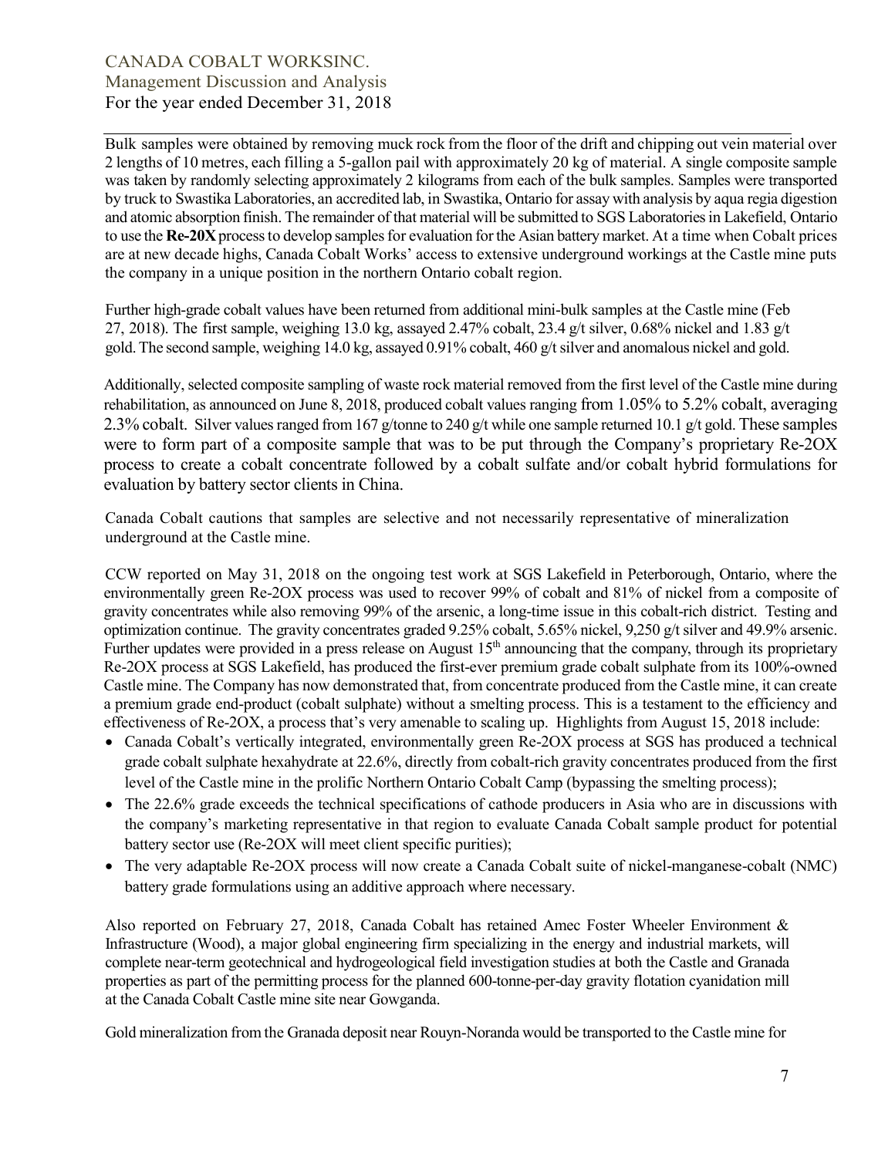Bulk samples were obtained by removing muck rock from the floor of the drift and chipping out vein material over 2 lengths of 10 metres, each filling a 5-gallon pail with approximately 20 kg of material. A single composite sample was taken by randomly selecting approximately 2 kilograms from each of the bulk samples. Samples were transported by truck to Swastika Laboratories, an accredited lab, in Swastika, Ontario for assay with analysis by aqua regia digestion and atomic absorption finish. The remainder of that material will be submitted to SGS Laboratories in Lakefield, Ontario to use the Re-20X process to develop samples for evaluation for the Asian battery market. At a time when Cobalt prices are at new decade highs, Canada Cobalt Works' access to extensive underground workings at the Castle mine puts the company in a unique position in the northern Ontario cobalt region.

Further high-grade cobalt values have been returned from additional mini-bulk samples at the Castle mine (Feb 27, 2018). The first sample, weighing 13.0 kg, assayed 2.47% cobalt, 23.4 g/t silver, 0.68% nickel and 1.83 g/t gold. The second sample, weighing 14.0 kg, assayed 0.91% cobalt, 460 g/t silver and anomalous nickel and gold.

Additionally, selected composite sampling of waste rock material removed from the first level of the Castle mine during rehabilitation, as announced on June 8, 2018, produced cobalt values ranging from 1.05% to 5.2% cobalt, averaging 2.3% cobalt. Silver values ranged from 167 g/tonne to 240 g/t while one sample returned 10.1 g/t gold. These samples were to form part of a composite sample that was to be put through the Company's proprietary Re-2OX process to create a cobalt concentrate followed by a cobalt sulfate and/or cobalt hybrid formulations for evaluation by battery sector clients in China.

Canada Cobalt cautions that samples are selective and not necessarily representative of mineralization underground at the Castle mine.

CCW reported on May 31, 2018 on the ongoing test work at SGS Lakefield in Peterborough, Ontario, where the environmentally green Re-2OX process was used to recover 99% of cobalt and 81% of nickel from a composite of gravity concentrates while also removing 99% of the arsenic, a long-time issue in this cobalt-rich district. Testing and optimization continue. The gravity concentrates graded 9.25% cobalt, 5.65% nickel, 9,250 g/t silver and 49.9% arsenic. Further updates were provided in a press release on August 15<sup>th</sup> announcing that the company, through its proprietary Re-2OX process at SGS Lakefield, has produced the first-ever premium grade cobalt sulphate from its 100%-owned Castle mine. The Company has now demonstrated that, from concentrate produced from the Castle mine, it can create a premium grade end-product (cobalt sulphate) without a smelting process. This is a testament to the efficiency and effectiveness of Re-2OX, a process that's very amenable to scaling up. Highlights from August 15, 2018 include:

- Canada Cobalt's vertically integrated, environmentally green Re-2OX process at SGS has produced a technical grade cobalt sulphate hexahydrate at 22.6%, directly from cobalt-rich gravity concentrates produced from the first level of the Castle mine in the prolific Northern Ontario Cobalt Camp (bypassing the smelting process);
- The 22.6% grade exceeds the technical specifications of cathode producers in Asia who are in discussions with the company's marketing representative in that region to evaluate Canada Cobalt sample product for potential battery sector use (Re-2OX will meet client specific purities);
- The very adaptable Re-2OX process will now create a Canada Cobalt suite of nickel-manganese-cobalt (NMC) battery grade formulations using an additive approach where necessary.

Also reported on February 27, 2018, Canada Cobalt has retained Amec Foster Wheeler Environment & Infrastructure (Wood), a major global engineering firm specializing in the energy and industrial markets, will complete near-term geotechnical and hydrogeological field investigation studies at both the Castle and Granada properties as part of the permitting process for the planned 600-tonne-per-day gravity flotation cyanidation mill at the Canada Cobalt Castle mine site near Gowganda.

Gold mineralization from the Granada deposit near Rouyn-Noranda would be transported to the Castle mine for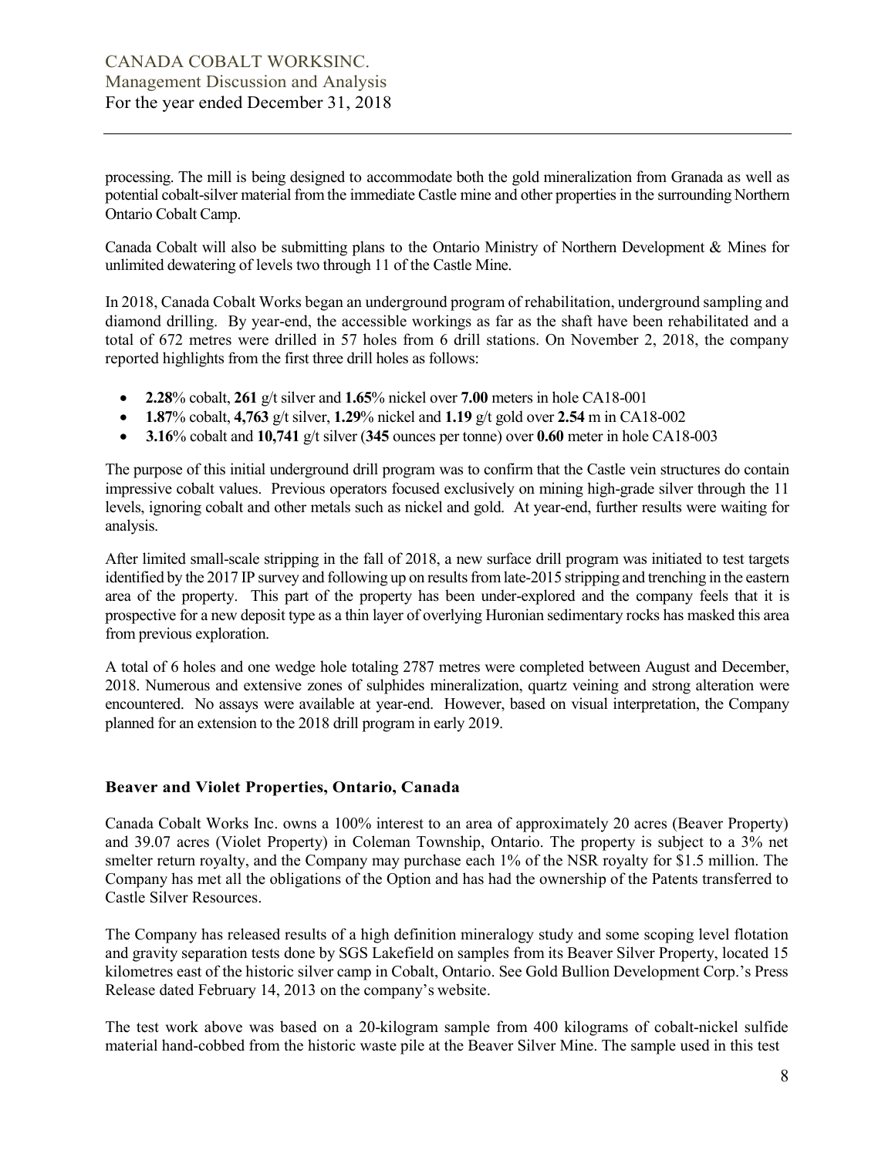processing. The mill is being designed to accommodate both the gold mineralization from Granada as well as potential cobalt-silver material from the immediate Castle mine and other properties in the surrounding Northern Ontario Cobalt Camp.

Canada Cobalt will also be submitting plans to the Ontario Ministry of Northern Development & Mines for unlimited dewatering of levels two through 11 of the Castle Mine.

In 2018, Canada Cobalt Works began an underground program of rehabilitation, underground sampling and diamond drilling. By year-end, the accessible workings as far as the shaft have been rehabilitated and a total of 672 metres were drilled in 57 holes from 6 drill stations. On November 2, 2018, the company reported highlights from the first three drill holes as follows:

- 2.28% cobalt, 261 g/t silver and 1.65% nickel over 7.00 meters in hole CA18-001
- 1.87% cobalt, 4,763 g/t silver, 1.29% nickel and 1.19 g/t gold over 2.54 m in CA18-002
- $\bullet$  3.16% cobalt and 10.741 g/t silver (345 ounces per tonne) over 0.60 meter in hole CA18-003

The purpose of this initial underground drill program was to confirm that the Castle vein structures do contain impressive cobalt values. Previous operators focused exclusively on mining high-grade silver through the 11 levels, ignoring cobalt and other metals such as nickel and gold. At year-end, further results were waiting for analysis.

After limited small-scale stripping in the fall of 2018, a new surface drill program was initiated to test targets identified by the 2017 IP survey and following up on results from late-2015 stripping and trenching in the eastern area of the property. This part of the property has been under-explored and the company feels that it is prospective for a new deposit type as a thin layer of overlying Huronian sedimentary rocks has masked this area from previous exploration.

A total of 6 holes and one wedge hole totaling 2787 metres were completed between August and December, 2018. Numerous and extensive zones of sulphides mineralization, quartz veining and strong alteration were encountered. No assays were available at year-end. However, based on visual interpretation, the Company planned for an extension to the 2018 drill program in early 2019.

### Beaver and Violet Properties, Ontario, Canada

Canada Cobalt Works Inc. owns a 100% interest to an area of approximately 20 acres (Beaver Property) and 39.07 acres (Violet Property) in Coleman Township, Ontario. The property is subject to a 3% net smelter return royalty, and the Company may purchase each 1% of the NSR royalty for \$1.5 million. The Company has met all the obligations of the Option and has had the ownership of the Patents transferred to Castle Silver Resources.

The Company has released results of a high definition mineralogy study and some scoping level flotation and gravity separation tests done by SGS Lakefield on samples from its Beaver Silver Property, located 15 kilometres east of the historic silver camp in Cobalt, Ontario. See Gold Bullion Development Corp.'s Press Release dated February 14, 2013 on the company's website.

The test work above was based on a 20-kilogram sample from 400 kilograms of cobalt-nickel sulfide material hand-cobbed from the historic waste pile at the Beaver Silver Mine. The sample used in this test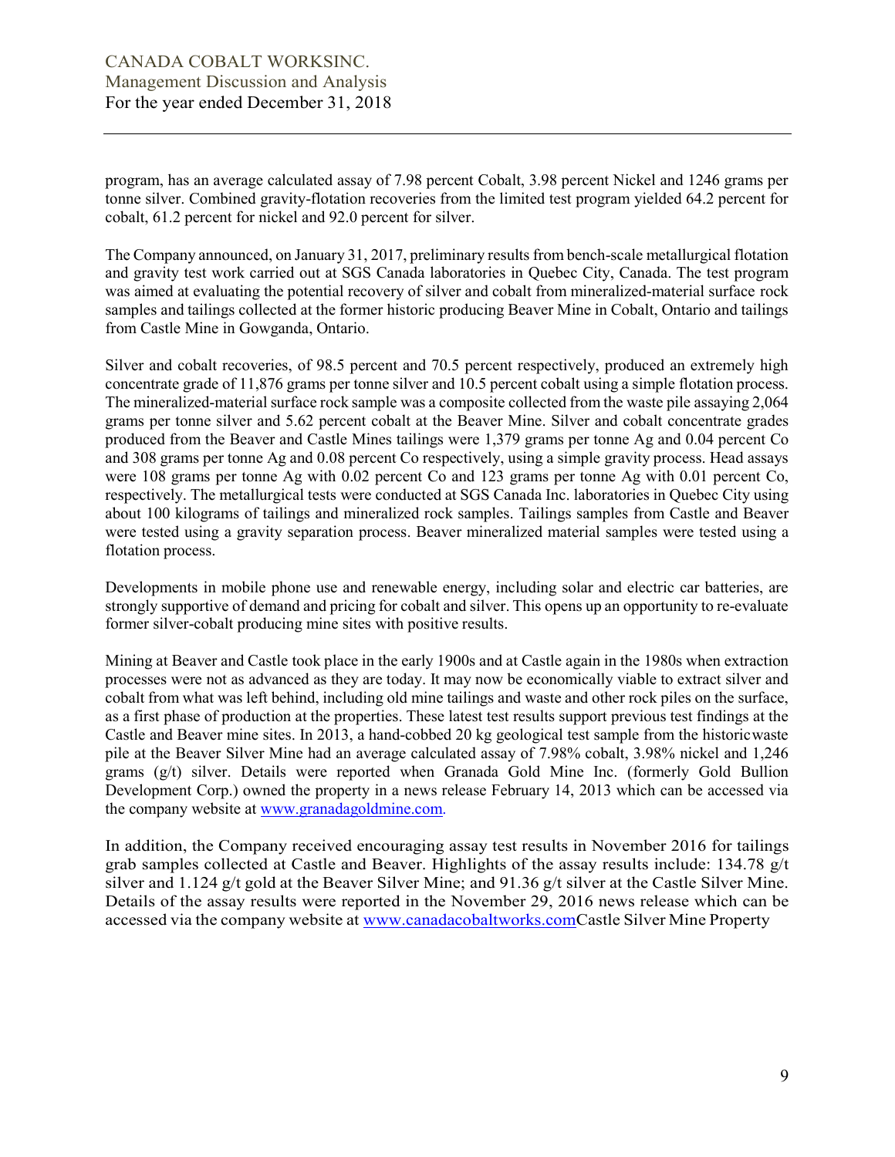program, has an average calculated assay of 7.98 percent Cobalt, 3.98 percent Nickel and 1246 grams per tonne silver. Combined gravity-flotation recoveries from the limited test program yielded 64.2 percent for cobalt, 61.2 percent for nickel and 92.0 percent for silver.

The Company announced, on January 31, 2017, preliminary results from bench-scale metallurgical flotation and gravity test work carried out at SGS Canada laboratories in Quebec City, Canada. The test program was aimed at evaluating the potential recovery of silver and cobalt from mineralized-material surface rock samples and tailings collected at the former historic producing Beaver Mine in Cobalt, Ontario and tailings from Castle Mine in Gowganda, Ontario.

Silver and cobalt recoveries, of 98.5 percent and 70.5 percent respectively, produced an extremely high concentrate grade of 11,876 grams per tonne silver and 10.5 percent cobalt using a simple flotation process. The mineralized-material surface rock sample was a composite collected from the waste pile assaying 2,064 grams per tonne silver and 5.62 percent cobalt at the Beaver Mine. Silver and cobalt concentrate grades produced from the Beaver and Castle Mines tailings were 1,379 grams per tonne Ag and 0.04 percent Co and 308 grams per tonne Ag and 0.08 percent Co respectively, using a simple gravity process. Head assays were 108 grams per tonne Ag with 0.02 percent Co and 123 grams per tonne Ag with 0.01 percent Co, respectively. The metallurgical tests were conducted at SGS Canada Inc. laboratories in Quebec City using about 100 kilograms of tailings and mineralized rock samples. Tailings samples from Castle and Beaver were tested using a gravity separation process. Beaver mineralized material samples were tested using a flotation process.

Developments in mobile phone use and renewable energy, including solar and electric car batteries, are strongly supportive of demand and pricing for cobalt and silver. This opens up an opportunity to re-evaluate former silver-cobalt producing mine sites with positive results.

Mining at Beaver and Castle took place in the early 1900s and at Castle again in the 1980s when extraction processes were not as advanced as they are today. It may now be economically viable to extract silver and cobalt from what was left behind, including old mine tailings and waste and other rock piles on the surface, as a first phase of production at the properties. These latest test results support previous test findings at the Castle and Beaver mine sites. In 2013, a hand-cobbed 20 kg geological test sample from the historic waste pile at the Beaver Silver Mine had an average calculated assay of 7.98% cobalt, 3.98% nickel and 1,246 grams (g/t) silver. Details were reported when Granada Gold Mine Inc. (formerly Gold Bullion Development Corp.) owned the property in a news release February 14, 2013 which can be accessed via the company website at www.granadagoldmine.com.

In addition, the Company received encouraging assay test results in November 2016 for tailings grab samples collected at Castle and Beaver. Highlights of the assay results include: 134.78 g/t silver and 1.124 g/t gold at the Beaver Silver Mine; and 91.36 g/t silver at the Castle Silver Mine. Details of the assay results were reported in the November 29, 2016 news release which can be accessed via the company website at www.canadacobaltworks.comCastle Silver Mine Property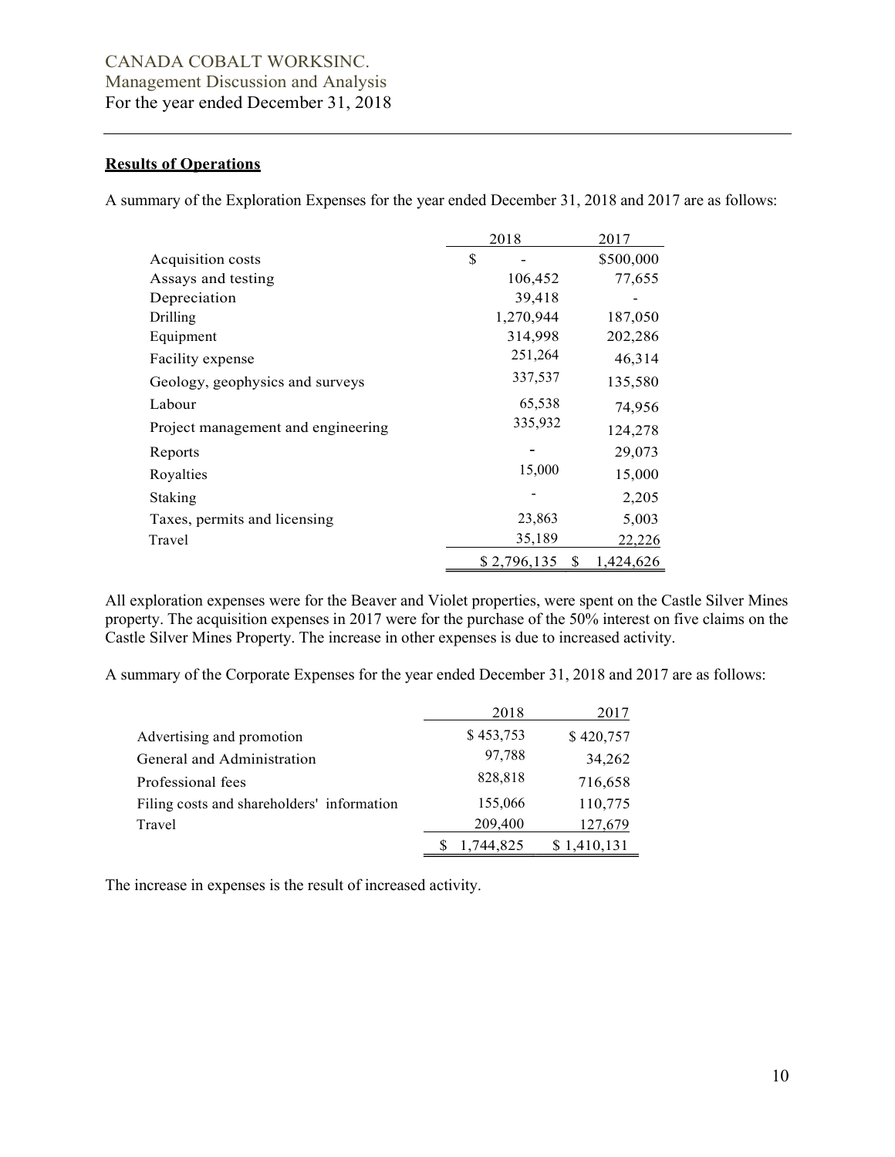## Results of Operations

A summary of the Exploration Expenses for the year ended December 31, 2018 and 2017 are as follows:

|                                    | 2018              | 2017      |
|------------------------------------|-------------------|-----------|
| Acquisition costs                  | \$                | \$500,000 |
| Assays and testing                 | 106,452           | 77,655    |
| Depreciation                       | 39,418            |           |
| Drilling                           | 1,270,944         | 187,050   |
| Equipment                          | 314,998           | 202,286   |
| Facility expense                   | 251,264           | 46,314    |
| Geology, geophysics and surveys    | 337,537           | 135,580   |
| Labour                             | 65,538            | 74,956    |
| Project management and engineering | 335,932           | 124,278   |
| Reports                            |                   | 29,073    |
| Royalties                          | 15,000            | 15,000    |
| Staking                            |                   | 2,205     |
| Taxes, permits and licensing       | 23,863            | 5,003     |
| Travel                             | 35,189            | 22,226    |
|                                    | \$2,796,135<br>-S | 1,424,626 |

All exploration expenses were for the Beaver and Violet properties, were spent on the Castle Silver Mines property. The acquisition expenses in 2017 were for the purchase of the 50% interest on five claims on the Castle Silver Mines Property. The increase in other expenses is due to increased activity.

A summary of the Corporate Expenses for the year ended December 31, 2018 and 2017 are as follows:

|                                            | 2018      | 2017        |
|--------------------------------------------|-----------|-------------|
| Advertising and promotion                  | \$453,753 | \$420,757   |
| General and Administration                 | 97,788    | 34,262      |
| Professional fees                          | 828,818   | 716,658     |
| Filing costs and shareholders' information | 155,066   | 110,775     |
| Travel                                     | 209,400   | 127,679     |
|                                            | 1,744,825 | \$1,410,131 |

The increase in expenses is the result of increased activity.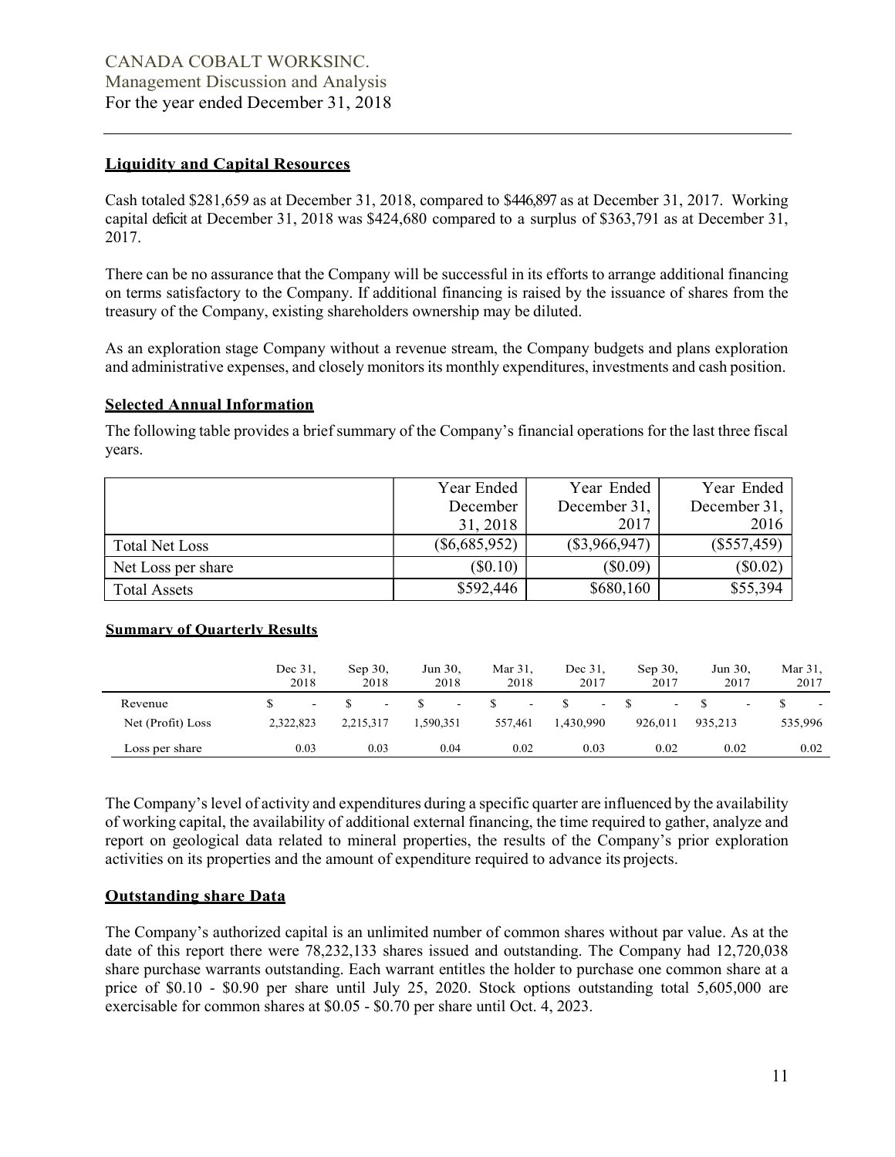### Liquidity and Capital Resources

Cash totaled \$281,659 as at December 31, 2018, compared to \$446,897 as at December 31, 2017. Working capital deficit at December 31, 2018 was \$424,680 compared to a surplus of \$363,791 as at December 31, 2017.

There can be no assurance that the Company will be successful in its efforts to arrange additional financing on terms satisfactory to the Company. If additional financing is raised by the issuance of shares from the treasury of the Company, existing shareholders ownership may be diluted.

As an exploration stage Company without a revenue stream, the Company budgets and plans exploration and administrative expenses, and closely monitors its monthly expenditures, investments and cash position.

## Selected Annual Information

The following table provides a brief summary of the Company's financial operations for the last three fiscal years.

|                       | Year Ended      | Year Ended      | Year Ended    |
|-----------------------|-----------------|-----------------|---------------|
|                       | December        | December 31,    | December 31,  |
|                       | 31, 2018        | 2017            | 2016          |
| <b>Total Net Loss</b> | $(\$6,685,952)$ | $(\$3,966,947)$ | $(\$557,459)$ |
| Net Loss per share    | $(\$0.10)$      | (\$0.09)        | (\$0.02)      |
| <b>Total Assets</b>   | \$592,446       | \$680,160       | \$55,394      |

### Summary of Quarterly Results

|                   | Dec 31,<br>2018 | Sep 30,<br>2018          | Jun 30,<br>2018          | Mar 31,<br>2018          | Dec 31.<br>2017 | $Sep 30$ ,<br>2017 | Jun 30,<br>2017          | Mar 31,<br>2017 |
|-------------------|-----------------|--------------------------|--------------------------|--------------------------|-----------------|--------------------|--------------------------|-----------------|
| Revenue           | $\sim$          | $\overline{\phantom{0}}$ | $\overline{\phantom{a}}$ | $\overline{\phantom{0}}$ | $\sim$          |                    | $\overline{\phantom{a}}$ | $\sim$          |
| Net (Profit) Loss | 2,322,823       | 2,215,317                | .590,351                 | 557,461                  | 1,430,990       | 926,011            | 935,213                  | 535,996         |
| Loss per share    | 0.03            | 0.03                     | 0.04                     | 0.02                     | 0.03            | 0.02               | 0.02                     | 0.02            |

The Company's level of activity and expenditures during a specific quarter are influenced by the availability of working capital, the availability of additional external financing, the time required to gather, analyze and report on geological data related to mineral properties, the results of the Company's prior exploration activities on its properties and the amount of expenditure required to advance its projects.

# Outstanding share Data

The Company's authorized capital is an unlimited number of common shares without par value. As at the date of this report there were 78,232,133 shares issued and outstanding. The Company had 12,720,038 share purchase warrants outstanding. Each warrant entitles the holder to purchase one common share at a price of \$0.10 - \$0.90 per share until July 25, 2020. Stock options outstanding total 5,605,000 are exercisable for common shares at \$0.05 - \$0.70 per share until Oct. 4, 2023.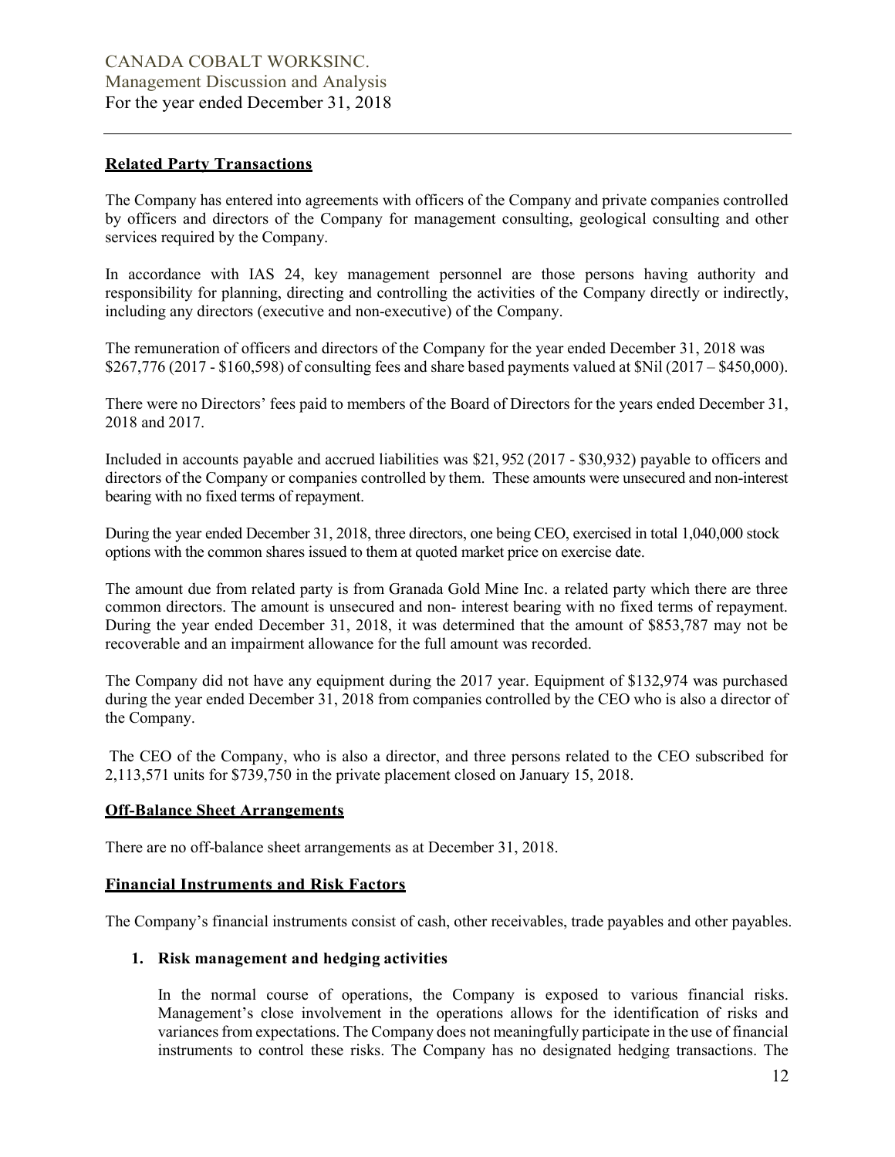### Related Party Transactions

The Company has entered into agreements with officers of the Company and private companies controlled by officers and directors of the Company for management consulting, geological consulting and other services required by the Company.

In accordance with IAS 24, key management personnel are those persons having authority and responsibility for planning, directing and controlling the activities of the Company directly or indirectly, including any directors (executive and non-executive) of the Company.

The remuneration of officers and directors of the Company for the year ended December 31, 2018 was \$267,776 (2017 - \$160,598) of consulting fees and share based payments valued at \$Nil (2017 – \$450,000).

There were no Directors' fees paid to members of the Board of Directors for the years ended December 31, 2018 and 2017.

Included in accounts payable and accrued liabilities was \$21, 952 (2017 - \$30,932) payable to officers and directors of the Company or companies controlled by them. These amounts were unsecured and non-interest bearing with no fixed terms of repayment.

During the year ended December 31, 2018, three directors, one being CEO, exercised in total 1,040,000 stock options with the common shares issued to them at quoted market price on exercise date.

The amount due from related party is from Granada Gold Mine Inc. a related party which there are three common directors. The amount is unsecured and non- interest bearing with no fixed terms of repayment. During the year ended December 31, 2018, it was determined that the amount of \$853,787 may not be recoverable and an impairment allowance for the full amount was recorded.

The Company did not have any equipment during the 2017 year. Equipment of \$132,974 was purchased during the year ended December 31, 2018 from companies controlled by the CEO who is also a director of the Company.

 The CEO of the Company, who is also a director, and three persons related to the CEO subscribed for 2,113,571 units for \$739,750 in the private placement closed on January 15, 2018.

### Off-Balance Sheet Arrangements

There are no off-balance sheet arrangements as at December 31, 2018.

### Financial Instruments and Risk Factors

The Company's financial instruments consist of cash, other receivables, trade payables and other payables.

### 1. Risk management and hedging activities

In the normal course of operations, the Company is exposed to various financial risks. Management's close involvement in the operations allows for the identification of risks and variances from expectations. The Company does not meaningfully participate in the use of financial instruments to control these risks. The Company has no designated hedging transactions. The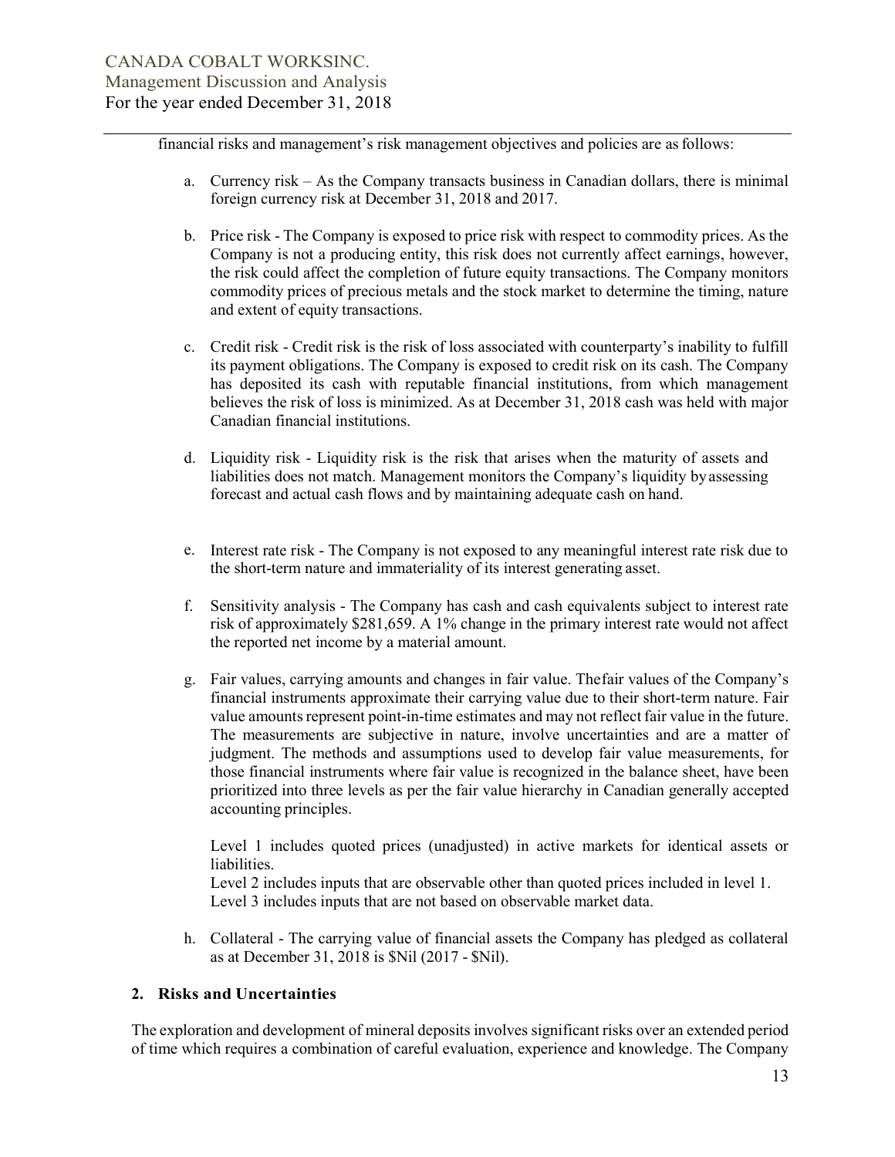financial risks and management's risk management objectives and policies are as follows:

- a. Currency risk As the Company transacts business in Canadian dollars, there is minimal foreign currency risk at December 31, 2018 and 2017.
- b. Price risk The Company is exposed to price risk with respect to commodity prices. As the Company is not a producing entity, this risk does not currently affect earnings, however, the risk could affect the completion of future equity transactions. The Company monitors commodity prices of precious metals and the stock market to determine the timing, nature and extent of equity transactions.
- c. Credit risk Credit risk is the risk of loss associated with counterparty's inability to fulfill its payment obligations. The Company is exposed to credit risk on its cash. The Company has deposited its cash with reputable financial institutions, from which management believes the risk of loss is minimized. As at December 31, 2018 cash was held with major Canadian financial institutions.
- d. Liquidity risk Liquidity risk is the risk that arises when the maturity of assets and liabilities does not match. Management monitors the Company's liquidity by assessing forecast and actual cash flows and by maintaining adequate cash on hand.
- e. Interest rate risk The Company is not exposed to any meaningful interest rate risk due to the short-term nature and immateriality of its interest generating asset.
- f. Sensitivity analysis The Company has cash and cash equivalents subject to interest rate risk of approximately \$281,659. A 1% change in the primary interest rate would not affect the reported net income by a material amount.
- g. Fair values, carrying amounts and changes in fair value. The fair values of the Company's financial instruments approximate their carrying value due to their short-term nature. Fair value amounts represent point-in-time estimates and may not reflect fair value in the future. The measurements are subjective in nature, involve uncertainties and are a matter of judgment. The methods and assumptions used to develop fair value measurements, for those financial instruments where fair value is recognized in the balance sheet, have been prioritized into three levels as per the fair value hierarchy in Canadian generally accepted accounting principles.

Level 1 includes quoted prices (unadjusted) in active markets for identical assets or liabilities.

Level 2 includes inputs that are observable other than quoted prices included in level 1. Level 3 includes inputs that are not based on observable market data.

h. Collateral - The carrying value of financial assets the Company has pledged as collateral as at December 31, 2018 is \$Nil (2017 - \$Nil).

### 2. Risks and Uncertainties

The exploration and development of mineral deposits involves significant risks over an extended period of time which requires a combination of careful evaluation, experience and knowledge. The Company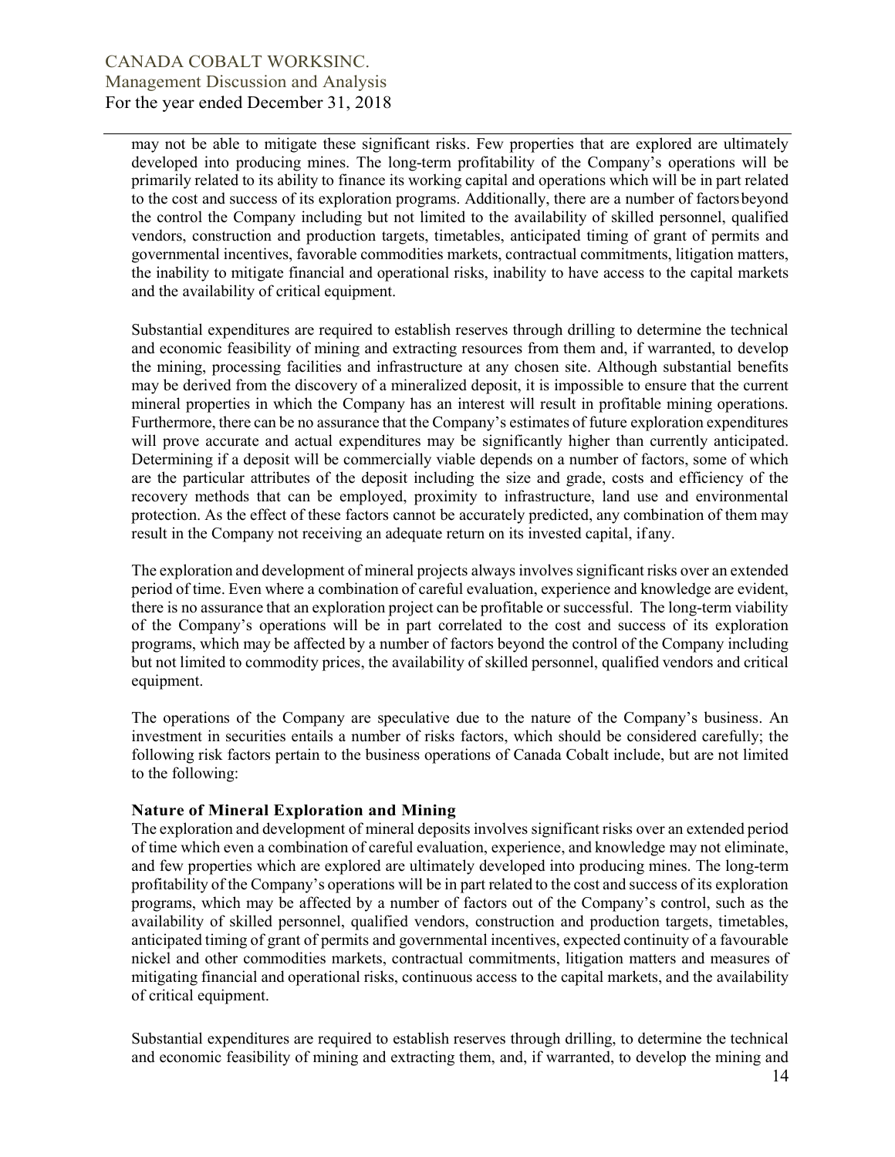may not be able to mitigate these significant risks. Few properties that are explored are ultimately developed into producing mines. The long-term profitability of the Company's operations will be primarily related to its ability to finance its working capital and operations which will be in part related to the cost and success of its exploration programs. Additionally, there are a number of factors beyond the control the Company including but not limited to the availability of skilled personnel, qualified vendors, construction and production targets, timetables, anticipated timing of grant of permits and governmental incentives, favorable commodities markets, contractual commitments, litigation matters, the inability to mitigate financial and operational risks, inability to have access to the capital markets and the availability of critical equipment.

Substantial expenditures are required to establish reserves through drilling to determine the technical and economic feasibility of mining and extracting resources from them and, if warranted, to develop the mining, processing facilities and infrastructure at any chosen site. Although substantial benefits may be derived from the discovery of a mineralized deposit, it is impossible to ensure that the current mineral properties in which the Company has an interest will result in profitable mining operations. Furthermore, there can be no assurance that the Company's estimates of future exploration expenditures will prove accurate and actual expenditures may be significantly higher than currently anticipated. Determining if a deposit will be commercially viable depends on a number of factors, some of which are the particular attributes of the deposit including the size and grade, costs and efficiency of the recovery methods that can be employed, proximity to infrastructure, land use and environmental protection. As the effect of these factors cannot be accurately predicted, any combination of them may result in the Company not receiving an adequate return on its invested capital, if any.

The exploration and development of mineral projects always involves significant risks over an extended period of time. Even where a combination of careful evaluation, experience and knowledge are evident, there is no assurance that an exploration project can be profitable or successful. The long-term viability of the Company's operations will be in part correlated to the cost and success of its exploration programs, which may be affected by a number of factors beyond the control of the Company including but not limited to commodity prices, the availability of skilled personnel, qualified vendors and critical equipment.

The operations of the Company are speculative due to the nature of the Company's business. An investment in securities entails a number of risks factors, which should be considered carefully; the following risk factors pertain to the business operations of Canada Cobalt include, but are not limited to the following:

### Nature of Mineral Exploration and Mining

The exploration and development of mineral deposits involves significant risks over an extended period of time which even a combination of careful evaluation, experience, and knowledge may not eliminate, and few properties which are explored are ultimately developed into producing mines. The long-term profitability of the Company's operations will be in part related to the cost and success of its exploration programs, which may be affected by a number of factors out of the Company's control, such as the availability of skilled personnel, qualified vendors, construction and production targets, timetables, anticipated timing of grant of permits and governmental incentives, expected continuity of a favourable nickel and other commodities markets, contractual commitments, litigation matters and measures of mitigating financial and operational risks, continuous access to the capital markets, and the availability of critical equipment.

Substantial expenditures are required to establish reserves through drilling, to determine the technical and economic feasibility of mining and extracting them, and, if warranted, to develop the mining and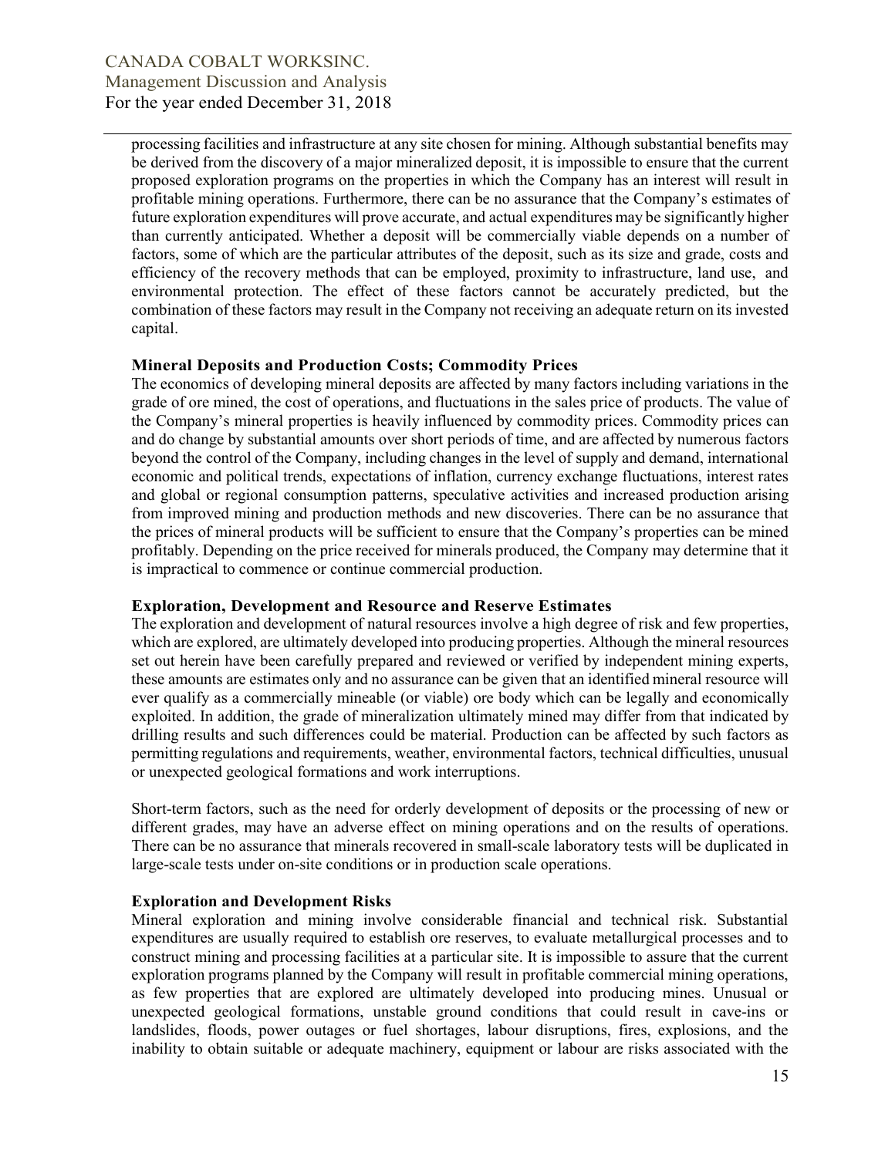processing facilities and infrastructure at any site chosen for mining. Although substantial benefits may be derived from the discovery of a major mineralized deposit, it is impossible to ensure that the current proposed exploration programs on the properties in which the Company has an interest will result in profitable mining operations. Furthermore, there can be no assurance that the Company's estimates of future exploration expenditures will prove accurate, and actual expenditures may be significantly higher than currently anticipated. Whether a deposit will be commercially viable depends on a number of factors, some of which are the particular attributes of the deposit, such as its size and grade, costs and efficiency of the recovery methods that can be employed, proximity to infrastructure, land use, and environmental protection. The effect of these factors cannot be accurately predicted, but the combination of these factors may result in the Company not receiving an adequate return on its invested capital.

## Mineral Deposits and Production Costs; Commodity Prices

The economics of developing mineral deposits are affected by many factors including variations in the grade of ore mined, the cost of operations, and fluctuations in the sales price of products. The value of the Company's mineral properties is heavily influenced by commodity prices. Commodity prices can and do change by substantial amounts over short periods of time, and are affected by numerous factors beyond the control of the Company, including changes in the level of supply and demand, international economic and political trends, expectations of inflation, currency exchange fluctuations, interest rates and global or regional consumption patterns, speculative activities and increased production arising from improved mining and production methods and new discoveries. There can be no assurance that the prices of mineral products will be sufficient to ensure that the Company's properties can be mined profitably. Depending on the price received for minerals produced, the Company may determine that it is impractical to commence or continue commercial production.

# Exploration, Development and Resource and Reserve Estimates

The exploration and development of natural resources involve a high degree of risk and few properties, which are explored, are ultimately developed into producing properties. Although the mineral resources set out herein have been carefully prepared and reviewed or verified by independent mining experts, these amounts are estimates only and no assurance can be given that an identified mineral resource will ever qualify as a commercially mineable (or viable) ore body which can be legally and economically exploited. In addition, the grade of mineralization ultimately mined may differ from that indicated by drilling results and such differences could be material. Production can be affected by such factors as permitting regulations and requirements, weather, environmental factors, technical difficulties, unusual or unexpected geological formations and work interruptions.

Short-term factors, such as the need for orderly development of deposits or the processing of new or different grades, may have an adverse effect on mining operations and on the results of operations. There can be no assurance that minerals recovered in small-scale laboratory tests will be duplicated in large-scale tests under on-site conditions or in production scale operations.

# Exploration and Development Risks

Mineral exploration and mining involve considerable financial and technical risk. Substantial expenditures are usually required to establish ore reserves, to evaluate metallurgical processes and to construct mining and processing facilities at a particular site. It is impossible to assure that the current exploration programs planned by the Company will result in profitable commercial mining operations, as few properties that are explored are ultimately developed into producing mines. Unusual or unexpected geological formations, unstable ground conditions that could result in cave-ins or landslides, floods, power outages or fuel shortages, labour disruptions, fires, explosions, and the inability to obtain suitable or adequate machinery, equipment or labour are risks associated with the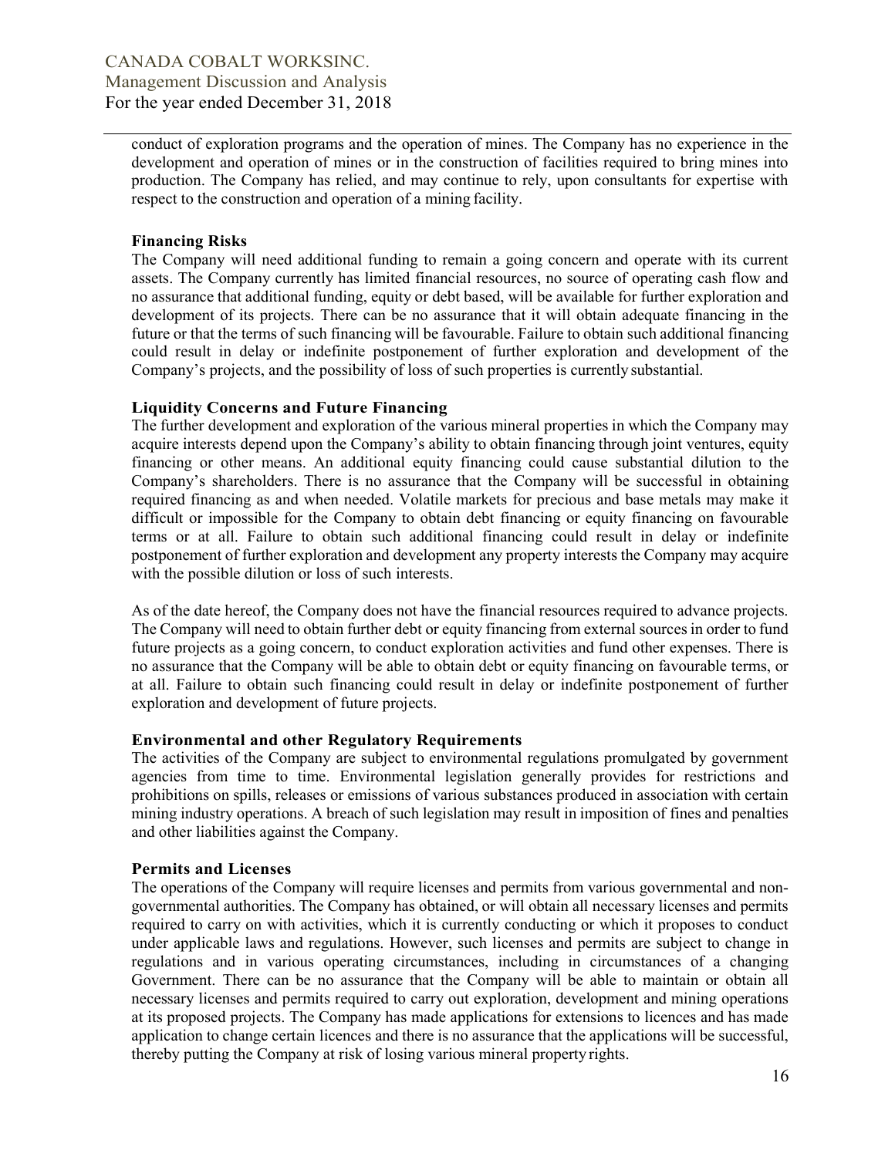conduct of exploration programs and the operation of mines. The Company has no experience in the development and operation of mines or in the construction of facilities required to bring mines into production. The Company has relied, and may continue to rely, upon consultants for expertise with respect to the construction and operation of a mining facility.

### Financing Risks

The Company will need additional funding to remain a going concern and operate with its current assets. The Company currently has limited financial resources, no source of operating cash flow and no assurance that additional funding, equity or debt based, will be available for further exploration and development of its projects. There can be no assurance that it will obtain adequate financing in the future or that the terms of such financing will be favourable. Failure to obtain such additional financing could result in delay or indefinite postponement of further exploration and development of the Company's projects, and the possibility of loss of such properties is currently substantial.

## Liquidity Concerns and Future Financing

The further development and exploration of the various mineral properties in which the Company may acquire interests depend upon the Company's ability to obtain financing through joint ventures, equity financing or other means. An additional equity financing could cause substantial dilution to the Company's shareholders. There is no assurance that the Company will be successful in obtaining required financing as and when needed. Volatile markets for precious and base metals may make it difficult or impossible for the Company to obtain debt financing or equity financing on favourable terms or at all. Failure to obtain such additional financing could result in delay or indefinite postponement of further exploration and development any property interests the Company may acquire with the possible dilution or loss of such interests.

As of the date hereof, the Company does not have the financial resources required to advance projects. The Company will need to obtain further debt or equity financing from external sources in order to fund future projects as a going concern, to conduct exploration activities and fund other expenses. There is no assurance that the Company will be able to obtain debt or equity financing on favourable terms, or at all. Failure to obtain such financing could result in delay or indefinite postponement of further exploration and development of future projects.

# Environmental and other Regulatory Requirements

The activities of the Company are subject to environmental regulations promulgated by government agencies from time to time. Environmental legislation generally provides for restrictions and prohibitions on spills, releases or emissions of various substances produced in association with certain mining industry operations. A breach of such legislation may result in imposition of fines and penalties and other liabilities against the Company.

### Permits and Licenses

The operations of the Company will require licenses and permits from various governmental and nongovernmental authorities. The Company has obtained, or will obtain all necessary licenses and permits required to carry on with activities, which it is currently conducting or which it proposes to conduct under applicable laws and regulations. However, such licenses and permits are subject to change in regulations and in various operating circumstances, including in circumstances of a changing Government. There can be no assurance that the Company will be able to maintain or obtain all necessary licenses and permits required to carry out exploration, development and mining operations at its proposed projects. The Company has made applications for extensions to licences and has made application to change certain licences and there is no assurance that the applications will be successful, thereby putting the Company at risk of losing various mineral property rights.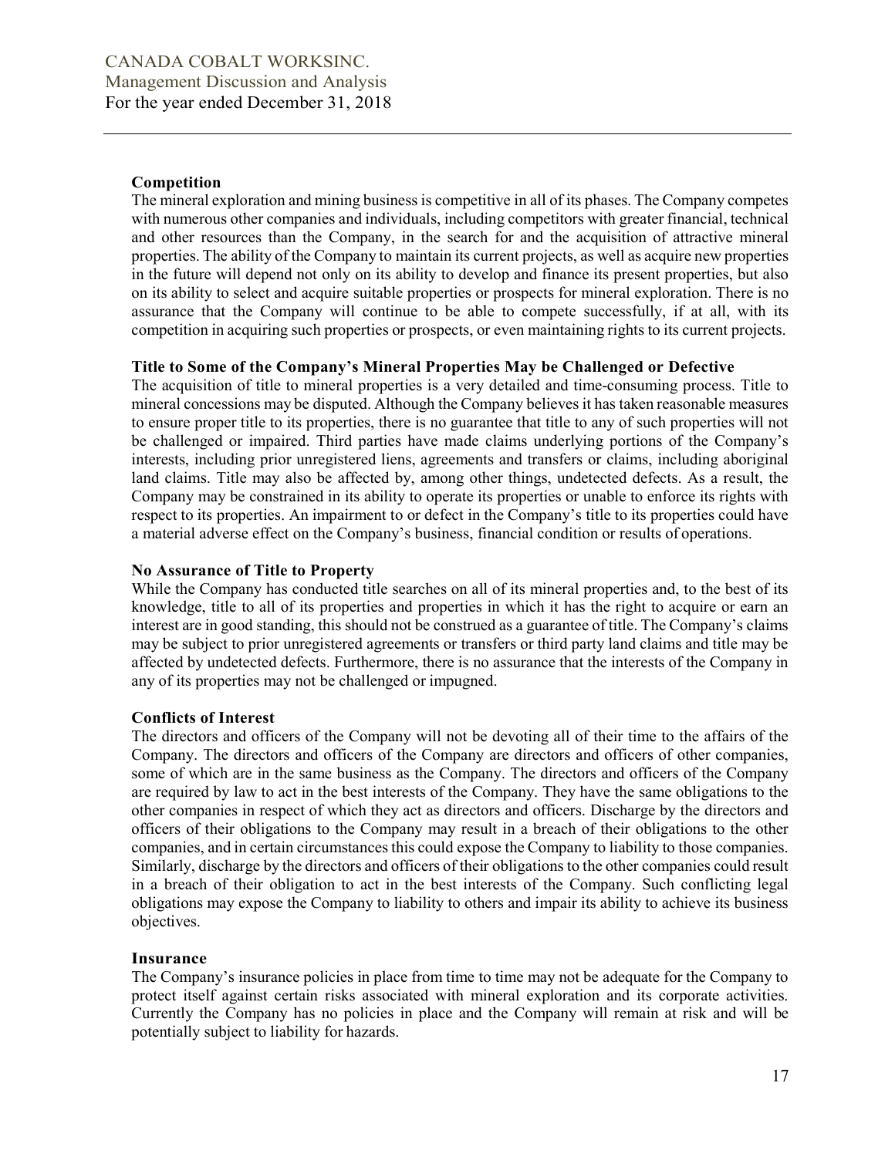## Competition

The mineral exploration and mining business is competitive in all of its phases. The Company competes with numerous other companies and individuals, including competitors with greater financial, technical and other resources than the Company, in the search for and the acquisition of attractive mineral properties. The ability of the Company to maintain its current projects, as well as acquire new properties in the future will depend not only on its ability to develop and finance its present properties, but also on its ability to select and acquire suitable properties or prospects for mineral exploration. There is no assurance that the Company will continue to be able to compete successfully, if at all, with its competition in acquiring such properties or prospects, or even maintaining rights to its current projects.

### Title to Some of the Company's Mineral Properties May be Challenged or Defective

The acquisition of title to mineral properties is a very detailed and time-consuming process. Title to mineral concessions may be disputed. Although the Company believes it has taken reasonable measures to ensure proper title to its properties, there is no guarantee that title to any of such properties will not be challenged or impaired. Third parties have made claims underlying portions of the Company's interests, including prior unregistered liens, agreements and transfers or claims, including aboriginal land claims. Title may also be affected by, among other things, undetected defects. As a result, the Company may be constrained in its ability to operate its properties or unable to enforce its rights with respect to its properties. An impairment to or defect in the Company's title to its properties could have a material adverse effect on the Company's business, financial condition or results of operations.

## No Assurance of Title to Property

While the Company has conducted title searches on all of its mineral properties and, to the best of its knowledge, title to all of its properties and properties in which it has the right to acquire or earn an interest are in good standing, this should not be construed as a guarantee of title. The Company's claims may be subject to prior unregistered agreements or transfers or third party land claims and title may be affected by undetected defects. Furthermore, there is no assurance that the interests of the Company in any of its properties may not be challenged or impugned.

### Conflicts of Interest

The directors and officers of the Company will not be devoting all of their time to the affairs of the Company. The directors and officers of the Company are directors and officers of other companies, some of which are in the same business as the Company. The directors and officers of the Company are required by law to act in the best interests of the Company. They have the same obligations to the other companies in respect of which they act as directors and officers. Discharge by the directors and officers of their obligations to the Company may result in a breach of their obligations to the other companies, and in certain circumstances this could expose the Company to liability to those companies. Similarly, discharge by the directors and officers of their obligations to the other companies could result in a breach of their obligation to act in the best interests of the Company. Such conflicting legal obligations may expose the Company to liability to others and impair its ability to achieve its business objectives.

# Insurance

The Company's insurance policies in place from time to time may not be adequate for the Company to protect itself against certain risks associated with mineral exploration and its corporate activities. Currently the Company has no policies in place and the Company will remain at risk and will be potentially subject to liability for hazards.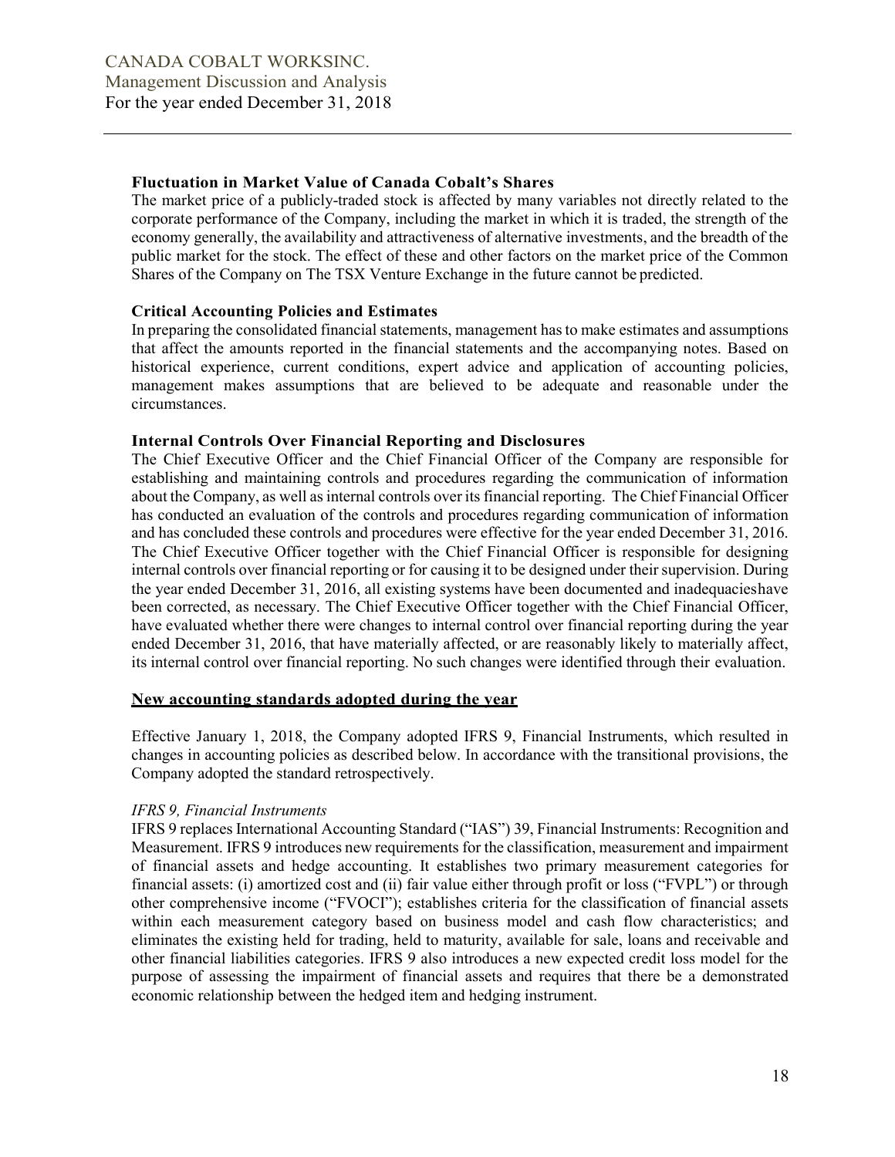## Fluctuation in Market Value of Canada Cobalt's Shares

The market price of a publicly-traded stock is affected by many variables not directly related to the corporate performance of the Company, including the market in which it is traded, the strength of the economy generally, the availability and attractiveness of alternative investments, and the breadth of the public market for the stock. The effect of these and other factors on the market price of the Common Shares of the Company on The TSX Venture Exchange in the future cannot be predicted.

### Critical Accounting Policies and Estimates

In preparing the consolidated financial statements, management has to make estimates and assumptions that affect the amounts reported in the financial statements and the accompanying notes. Based on historical experience, current conditions, expert advice and application of accounting policies, management makes assumptions that are believed to be adequate and reasonable under the circumstances.

### Internal Controls Over Financial Reporting and Disclosures

The Chief Executive Officer and the Chief Financial Officer of the Company are responsible for establishing and maintaining controls and procedures regarding the communication of information about the Company, as well as internal controls over its financial reporting. The Chief Financial Officer has conducted an evaluation of the controls and procedures regarding communication of information and has concluded these controls and procedures were effective for the year ended December 31, 2016. The Chief Executive Officer together with the Chief Financial Officer is responsible for designing internal controls over financial reporting or for causing it to be designed under their supervision. During the year ended December 31, 2016, all existing systems have been documented and inadequacies have been corrected, as necessary. The Chief Executive Officer together with the Chief Financial Officer, have evaluated whether there were changes to internal control over financial reporting during the year ended December 31, 2016, that have materially affected, or are reasonably likely to materially affect, its internal control over financial reporting. No such changes were identified through their evaluation.

### New accounting standards adopted during the year

Effective January 1, 2018, the Company adopted IFRS 9, Financial Instruments, which resulted in changes in accounting policies as described below. In accordance with the transitional provisions, the Company adopted the standard retrospectively.

### IFRS 9, Financial Instruments

IFRS 9 replaces International Accounting Standard ("IAS") 39, Financial Instruments: Recognition and Measurement. IFRS 9 introduces new requirements for the classification, measurement and impairment of financial assets and hedge accounting. It establishes two primary measurement categories for financial assets: (i) amortized cost and (ii) fair value either through profit or loss ("FVPL") or through other comprehensive income ("FVOCI"); establishes criteria for the classification of financial assets within each measurement category based on business model and cash flow characteristics; and eliminates the existing held for trading, held to maturity, available for sale, loans and receivable and other financial liabilities categories. IFRS 9 also introduces a new expected credit loss model for the purpose of assessing the impairment of financial assets and requires that there be a demonstrated economic relationship between the hedged item and hedging instrument.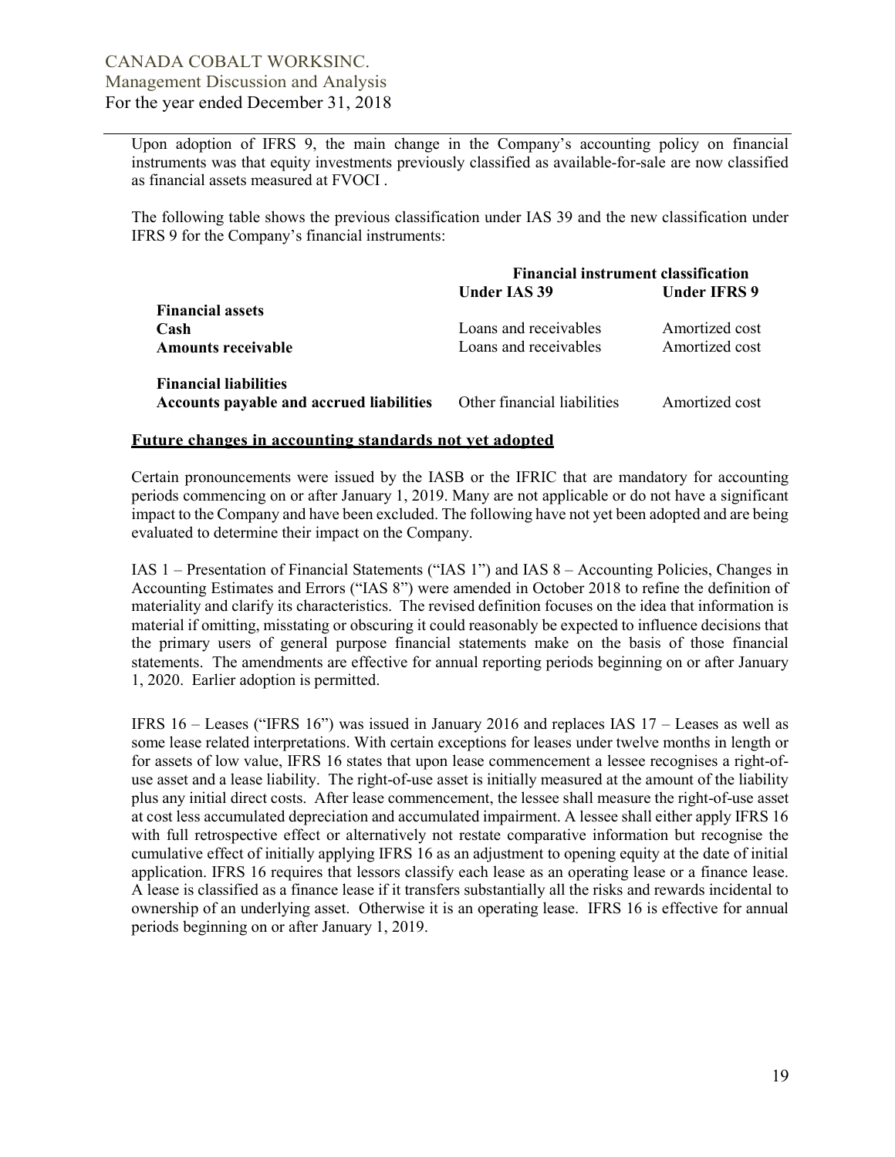Upon adoption of IFRS 9, the main change in the Company's accounting policy on financial instruments was that equity investments previously classified as available-for-sale are now classified as financial assets measured at FVOCI .

The following table shows the previous classification under IAS 39 and the new classification under IFRS 9 for the Company's financial instruments:

|                                                 | <b>Financial instrument classification</b> |                     |  |  |  |
|-------------------------------------------------|--------------------------------------------|---------------------|--|--|--|
|                                                 | <b>Under IAS 39</b>                        | <b>Under IFRS 9</b> |  |  |  |
| <b>Financial assets</b>                         |                                            |                     |  |  |  |
| Cash                                            | Loans and receivables                      | Amortized cost      |  |  |  |
| <b>Amounts receivable</b>                       | Loans and receivables                      | Amortized cost      |  |  |  |
| <b>Financial liabilities</b>                    |                                            |                     |  |  |  |
| <b>Accounts payable and accrued liabilities</b> | Other financial liabilities                | Amortized cost      |  |  |  |

#### Future changes in accounting standards not yet adopted

Certain pronouncements were issued by the IASB or the IFRIC that are mandatory for accounting periods commencing on or after January 1, 2019. Many are not applicable or do not have a significant impact to the Company and have been excluded. The following have not yet been adopted and are being evaluated to determine their impact on the Company.

IAS 1 – Presentation of Financial Statements ("IAS 1") and IAS 8 – Accounting Policies, Changes in Accounting Estimates and Errors ("IAS 8") were amended in October 2018 to refine the definition of materiality and clarify its characteristics. The revised definition focuses on the idea that information is material if omitting, misstating or obscuring it could reasonably be expected to influence decisions that the primary users of general purpose financial statements make on the basis of those financial statements. The amendments are effective for annual reporting periods beginning on or after January 1, 2020. Earlier adoption is permitted.

IFRS 16 – Leases ("IFRS 16") was issued in January 2016 and replaces IAS 17 – Leases as well as some lease related interpretations. With certain exceptions for leases under twelve months in length or for assets of low value, IFRS 16 states that upon lease commencement a lessee recognises a right-ofuse asset and a lease liability. The right-of-use asset is initially measured at the amount of the liability plus any initial direct costs. After lease commencement, the lessee shall measure the right-of-use asset at cost less accumulated depreciation and accumulated impairment. A lessee shall either apply IFRS 16 with full retrospective effect or alternatively not restate comparative information but recognise the cumulative effect of initially applying IFRS 16 as an adjustment to opening equity at the date of initial application. IFRS 16 requires that lessors classify each lease as an operating lease or a finance lease. A lease is classified as a finance lease if it transfers substantially all the risks and rewards incidental to ownership of an underlying asset. Otherwise it is an operating lease. IFRS 16 is effective for annual periods beginning on or after January 1, 2019.